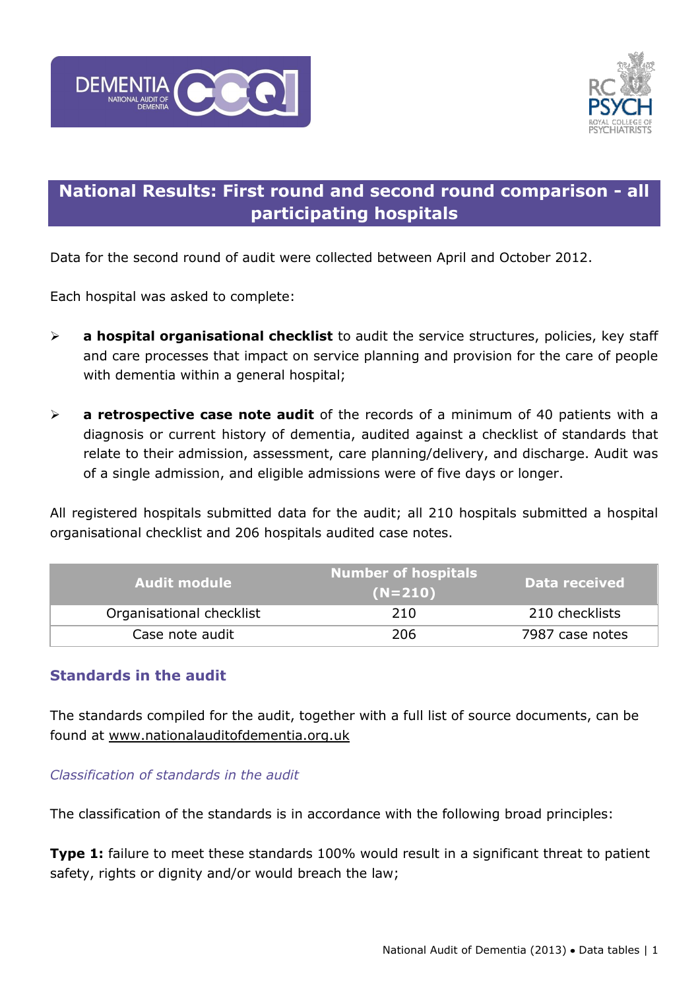



# **National Results: First round and second round comparison - all participating hospitals**

Data for the second round of audit were collected between April and October 2012.

Each hospital was asked to complete:

- **a hospital organisational checklist** to audit the service structures, policies, key staff and care processes that impact on service planning and provision for the care of people with dementia within a general hospital;
- **a retrospective case note audit** of the records of a minimum of 40 patients with a diagnosis or current history of dementia, audited against a checklist of standards that relate to their admission, assessment, care planning/delivery, and discharge. Audit was of a single admission, and eligible admissions were of five days or longer.

All registered hospitals submitted data for the audit; all 210 hospitals submitted a hospital organisational checklist and 206 hospitals audited case notes.

| <b>Audit module</b>      | <b>Number of hospitals</b><br>$(N=210)$ | Data received   |
|--------------------------|-----------------------------------------|-----------------|
| Organisational checklist | 210                                     | 210 checklists  |
| Case note audit          | 206                                     | 7987 case notes |

### **Standards in the audit**

The standards compiled for the audit, together with a full list of source documents, can be found at [www.nationalauditofdementia.org.uk](http://www.nationalauditofdementia.org.uk/)

### *Classification of standards in the audit*

The classification of the standards is in accordance with the following broad principles:

**Type 1:** failure to meet these standards 100% would result in a significant threat to patient safety, rights or dignity and/or would breach the law;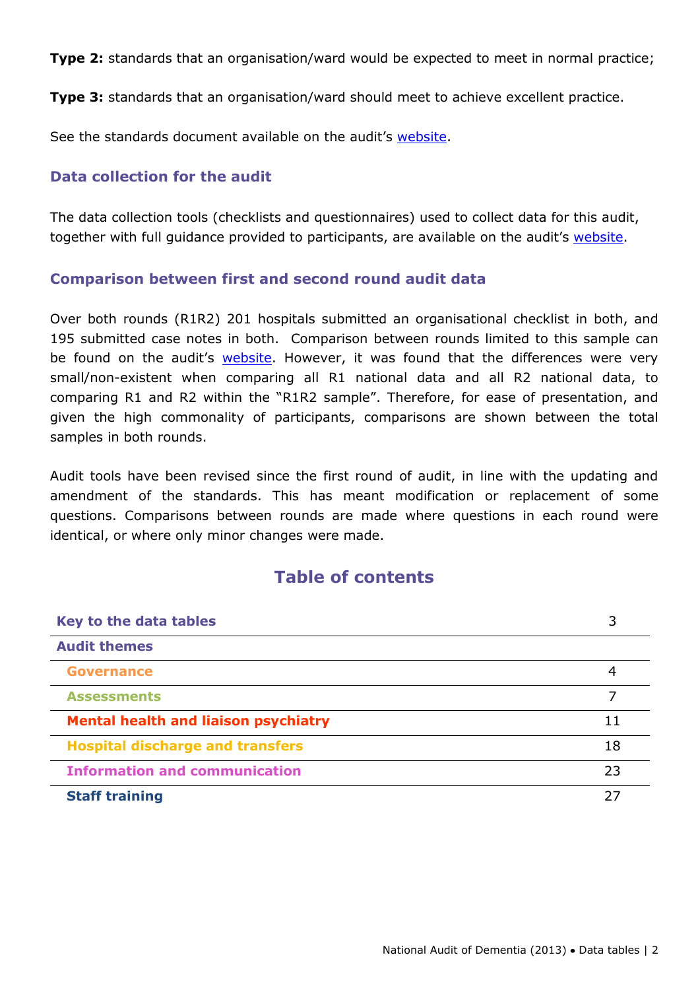**Type 2:** standards that an organisation/ward would be expected to meet in normal practice;

**Type 3:** standards that an organisation/ward should meet to achieve excellent practice.

See the standards document available on the audit's [website.](http://www.nationalauditofdementia.org.uk/)

### **Data collection for the audit**

The data collection tools (checklists and questionnaires) used to collect data for this audit, together with full guidance provided to participants, are available on the audit's [website.](http://www.nationalauditofdementia.org.uk/)

### **Comparison between first and second round audit data**

Over both rounds (R1R2) 201 hospitals submitted an organisational checklist in both, and 195 submitted case notes in both. Comparison between rounds limited to this sample can be found on the audit's [website.](http://www.rcpsych.ac.uk/workinpsychiatry/qualityimprovement/nationalclinicalaudits/dementia/nationalauditofdementia/reportsandauditmaterials/reports.aspx) However, it was found that the differences were very small/non-existent when comparing all R1 national data and all R2 national data, to comparing R1 and R2 within the "R1R2 sample". Therefore, for ease of presentation, and given the high commonality of participants, comparisons are shown between the total samples in both rounds.

Audit tools have been revised since the first round of audit, in line with the updating and amendment of the standards. This has meant modification or replacement of some questions. Comparisons between rounds are made where questions in each round were identical, or where only minor changes were made.

### **Table of contents**

| Key to the data tables                      |    |
|---------------------------------------------|----|
| <b>Audit themes</b>                         |    |
| Governance                                  | 4  |
| <b>Assessments</b>                          |    |
| <b>Mental health and liaison psychiatry</b> | 11 |
| <b>Hospital discharge and transfers</b>     | 18 |
| <b>Information and communication</b>        | 23 |
| <b>Staff training</b>                       | フフ |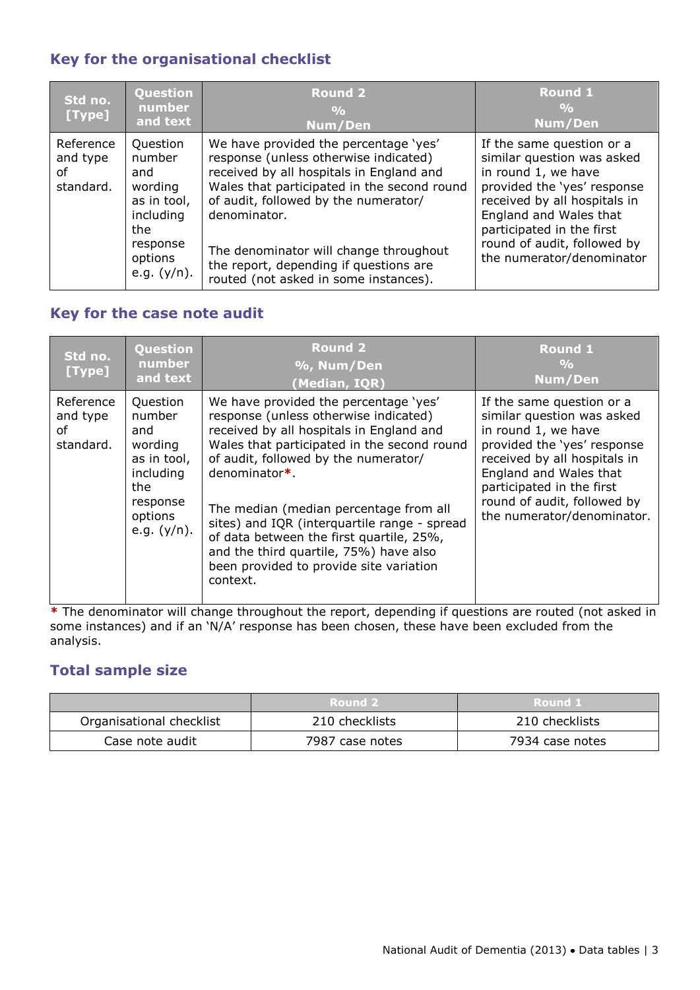### **Key for the organisational checklist**

| Std no.<br>[Type]                        | <b>Question</b><br>number<br>and text                                                                            | <b>Round 2</b><br>$\frac{0}{0}$<br>Num/Den                                                                                                                                                                                                                                                                                                                     | <b>Round 1</b><br>$\frac{0}{0}$<br>Num/Den                                                                                                                                                                                                                       |
|------------------------------------------|------------------------------------------------------------------------------------------------------------------|----------------------------------------------------------------------------------------------------------------------------------------------------------------------------------------------------------------------------------------------------------------------------------------------------------------------------------------------------------------|------------------------------------------------------------------------------------------------------------------------------------------------------------------------------------------------------------------------------------------------------------------|
| Reference<br>and type<br>οf<br>standard. | Question<br>number<br>and<br>wording<br>as in tool,<br>including<br>the<br>response<br>options<br>e.g. $(y/n)$ . | We have provided the percentage 'yes'<br>response (unless otherwise indicated)<br>received by all hospitals in England and<br>Wales that participated in the second round<br>of audit, followed by the numerator/<br>denominator.<br>The denominator will change throughout<br>the report, depending if questions are<br>routed (not asked in some instances). | If the same question or a<br>similar question was asked<br>in round 1, we have<br>provided the 'yes' response<br>received by all hospitals in<br>England and Wales that<br>participated in the first<br>round of audit, followed by<br>the numerator/denominator |

### **Key for the case note audit**

| Std no.<br>[Type]                        | Question<br>number<br>and text                                                                                   | <b>Round 2</b><br>%, Num/Den<br>(Median, IQR)                                                                                                                                                                                                                                                                                                                                                                                                                            | <b>Round 1</b><br>$\frac{0}{0}$<br>Num/Den                                                                                                                                                                                                                        |
|------------------------------------------|------------------------------------------------------------------------------------------------------------------|--------------------------------------------------------------------------------------------------------------------------------------------------------------------------------------------------------------------------------------------------------------------------------------------------------------------------------------------------------------------------------------------------------------------------------------------------------------------------|-------------------------------------------------------------------------------------------------------------------------------------------------------------------------------------------------------------------------------------------------------------------|
| Reference<br>and type<br>Ωf<br>standard. | Question<br>number<br>and<br>wording<br>as in tool,<br>including<br>the<br>response<br>options<br>e.g. $(y/n)$ . | We have provided the percentage 'yes'<br>response (unless otherwise indicated)<br>received by all hospitals in England and<br>Wales that participated in the second round<br>of audit, followed by the numerator/<br>denominator*<br>The median (median percentage from all<br>sites) and IQR (interquartile range - spread<br>of data between the first quartile, 25%,<br>and the third quartile, 75%) have also<br>been provided to provide site variation<br>context. | If the same question or a<br>similar question was asked<br>in round 1, we have<br>provided the 'yes' response<br>received by all hospitals in<br>England and Wales that<br>participated in the first<br>round of audit, followed by<br>the numerator/denominator. |

**\*** The denominator will change throughout the report, depending if questions are routed (not asked in some instances) and if an 'N/A' response has been chosen, these have been excluded from the analysis.

### **Total sample size**

|                          | Round 2         | Round 1         |
|--------------------------|-----------------|-----------------|
| Organisational checklist | 210 checklists  | 210 checklists  |
| Case note audit          | 7987 case notes | 7934 case notes |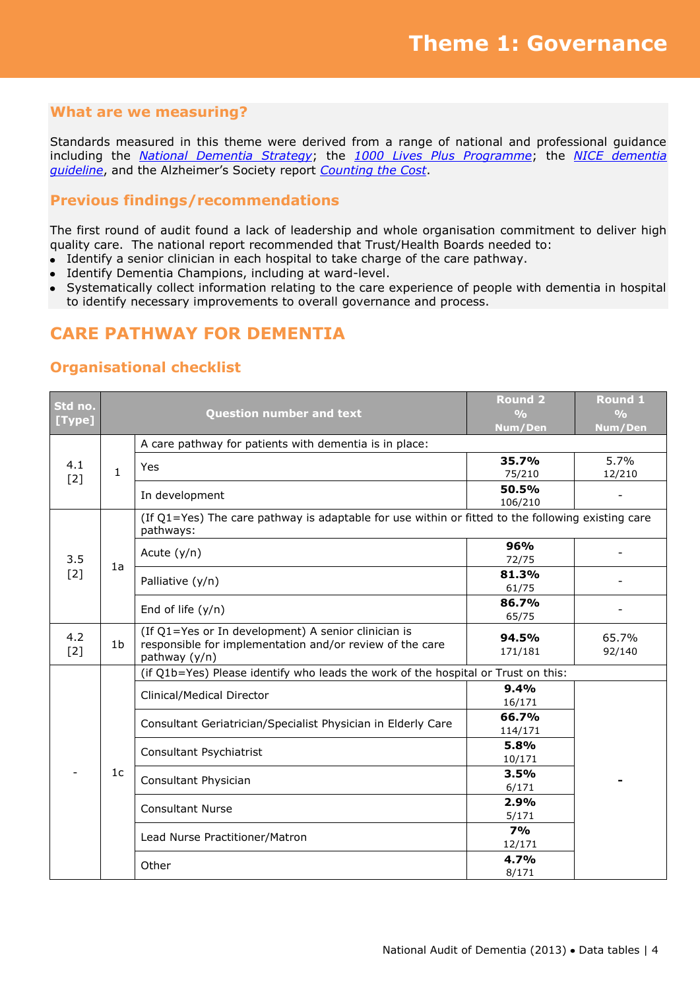Standards measured in this theme were derived from a range of national and professional guidance including the *[National Dementia Strategy](http://www.dh.gov.uk/prod_consum_dh/groups/dh_digitalassets/@dh/@en/documents/digitalasset/dh_094051.pdf)*; the *[1000 Lives Plus Programme](http://www.1000livesplus.wales.nhs.uk/sitesplus/documents/1011/How%20to%20%2815%29%20Dementia%20%28Feb%202011%29%20Web.pdf)*; the *[NICE dementia](http://www.nice.org.uk/nicemedia/live/10998/30318/30318.pdf)  [guideline](http://www.nice.org.uk/nicemedia/live/10998/30318/30318.pdf)*, and the Alzheimer's Society report *[Counting the Cost](http://www.alzheimers.org.uk/site/scripts/download_info.php?fileID=787)*.

### **Previous findings/recommendations**

The first round of audit found a lack of leadership and whole organisation commitment to deliver high quality care. The national report recommended that Trust/Health Boards needed to:

- Identify a senior clinician in each hospital to take charge of the care pathway.
- Identify Dementia Champions, including at ward-level.
- Systematically collect information relating to the care experience of people with dementia in hospital to identify necessary improvements to overall governance and process.

### **CARE PATHWAY FOR DEMENTIA**

| Std no.<br>[Type] |                | <b>Question number and text</b>                                                                                                  | <b>Round 2</b><br>$\frac{0}{0}$<br>Num/Den | <b>Round 1</b><br>$\frac{0}{0}$<br>Num/Den |
|-------------------|----------------|----------------------------------------------------------------------------------------------------------------------------------|--------------------------------------------|--------------------------------------------|
|                   |                | A care pathway for patients with dementia is in place:                                                                           |                                            |                                            |
| 4.1<br>$[2]$      | $\mathbf{1}$   | Yes                                                                                                                              | 35.7%<br>75/210                            | 5.7%<br>12/210                             |
|                   |                | In development                                                                                                                   | 50.5%<br>106/210                           | $\overline{\phantom{a}}$                   |
|                   |                | (If Q1=Yes) The care pathway is adaptable for use within or fitted to the following existing care<br>pathways:                   |                                            |                                            |
| 3.5               |                | Acute $(y/n)$                                                                                                                    | 96%<br>72/75                               |                                            |
| $[2]$             | 1a             | Palliative (y/n)                                                                                                                 | 81.3%<br>61/75                             |                                            |
|                   |                | End of life $(y/n)$                                                                                                              | 86.7%<br>65/75                             |                                            |
| 4.2<br>$[2]$      | 1 <sub>b</sub> | (If Q1=Yes or In development) A senior clinician is<br>responsible for implementation and/or review of the care<br>pathway (y/n) | 94.5%<br>171/181                           | 65.7%<br>92/140                            |
|                   |                | (if Q1b=Yes) Please identify who leads the work of the hospital or Trust on this:                                                |                                            |                                            |
|                   |                | Clinical/Medical Director                                                                                                        | 9.4%<br>16/171                             |                                            |
|                   |                | Consultant Geriatrician/Specialist Physician in Elderly Care                                                                     | 66.7%<br>114/171                           |                                            |
|                   |                | Consultant Psychiatrist                                                                                                          | 5.8%<br>10/171                             |                                            |
|                   | 1 <sub>c</sub> | Consultant Physician                                                                                                             | 3.5%<br>6/171                              |                                            |
|                   |                | <b>Consultant Nurse</b>                                                                                                          | 2.9%<br>5/171                              |                                            |
|                   |                | Lead Nurse Practitioner/Matron                                                                                                   | 7%<br>12/171                               |                                            |
|                   |                | Other                                                                                                                            | 4.7%<br>8/171                              |                                            |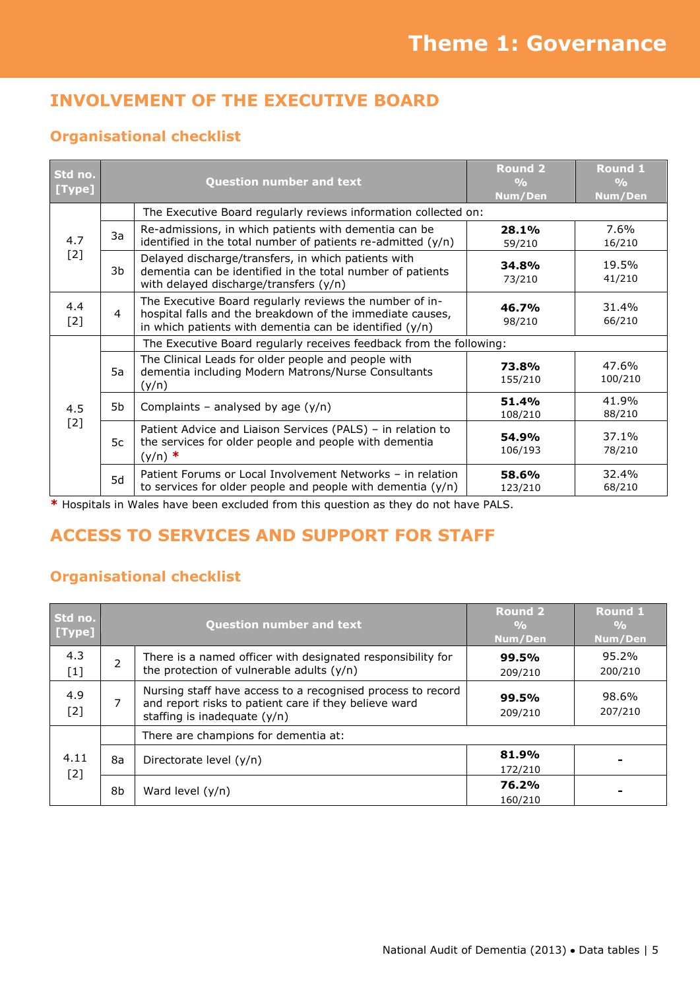# **INVOLVEMENT OF THE EXECUTIVE BOARD**

### **Organisational checklist**

| Std no.<br>[Type] | <b>Question number and text</b> |                                                                                                                                                                                   | <b>Round 2</b><br>$\frac{0}{0}$<br>Num/Den | Round 1<br>$\frac{0}{0}$<br>Num/Den |  |
|-------------------|---------------------------------|-----------------------------------------------------------------------------------------------------------------------------------------------------------------------------------|--------------------------------------------|-------------------------------------|--|
|                   |                                 | The Executive Board regularly reviews information collected on:                                                                                                                   |                                            |                                     |  |
| 4.7               | 3a                              | Re-admissions, in which patients with dementia can be<br>identified in the total number of patients re-admitted $(y/n)$                                                           | 28.1%<br>59/210                            | 7.6%<br>16/210                      |  |
| $[2]$             | 3b                              | Delayed discharge/transfers, in which patients with<br>dementia can be identified in the total number of patients<br>with delayed discharge/transfers (y/n)                       | 34.8%<br>73/210                            | 19.5%<br>41/210                     |  |
| 4.4<br>$[2]$      | $\overline{4}$                  | The Executive Board regularly reviews the number of in-<br>hospital falls and the breakdown of the immediate causes,<br>in which patients with dementia can be identified $(y/n)$ | 46.7%<br>98/210                            | 31.4%<br>66/210                     |  |
|                   |                                 | The Executive Board regularly receives feedback from the following:                                                                                                               |                                            |                                     |  |
|                   | 5a                              | The Clinical Leads for older people and people with<br>dementia including Modern Matrons/Nurse Consultants<br>(y/n)                                                               | 73.8%<br>155/210                           | 47.6%<br>100/210                    |  |
| 4.5               | 5b                              | Complaints - analysed by age $(y/n)$                                                                                                                                              | 51.4%<br>108/210                           | 41.9%<br>88/210                     |  |
| $[2]$             | 5c                              | Patient Advice and Liaison Services (PALS) - in relation to<br>the services for older people and people with dementia<br>$(y/n)$ *                                                | 54.9%<br>106/193                           | 37.1%<br>78/210                     |  |
|                   | 5d                              | Patient Forums or Local Involvement Networks - in relation<br>to services for older people and people with dementia $(y/n)$                                                       | 58.6%<br>123/210                           | 32.4%<br>68/210                     |  |

**\*** Hospitals in Wales have been excluded from this question as they do not have PALS.

# **ACCESS TO SERVICES AND SUPPORT FOR STAFF**

| Std no.<br>[Type] |                          | <b>Question number and text</b>                                                                                                                        | <b>Round 2</b><br>$\frac{0}{0}$<br>Num/Den | <b>Round 1</b><br>$\frac{9}{6}$<br>Num/Den |
|-------------------|--------------------------|--------------------------------------------------------------------------------------------------------------------------------------------------------|--------------------------------------------|--------------------------------------------|
| 4.3<br>$[1]$      | $\overline{\phantom{a}}$ | There is a named officer with designated responsibility for<br>the protection of vulnerable adults $(y/n)$                                             | 99.5%<br>209/210                           | 95.2%<br>200/210                           |
| 4.9<br>$[2]$      | 7                        | Nursing staff have access to a recognised process to record<br>and report risks to patient care if they believe ward<br>staffing is inadequate $(y/n)$ | 99.5%<br>209/210                           | 98.6%<br>207/210                           |
|                   |                          | There are champions for dementia at:                                                                                                                   |                                            |                                            |
| 4.11<br>$[2]$     | 8а                       | Directorate level (y/n)                                                                                                                                | 81.9%<br>172/210                           |                                            |
|                   | 8b                       | Ward level $(y/n)$                                                                                                                                     | 76.2%<br>160/210                           |                                            |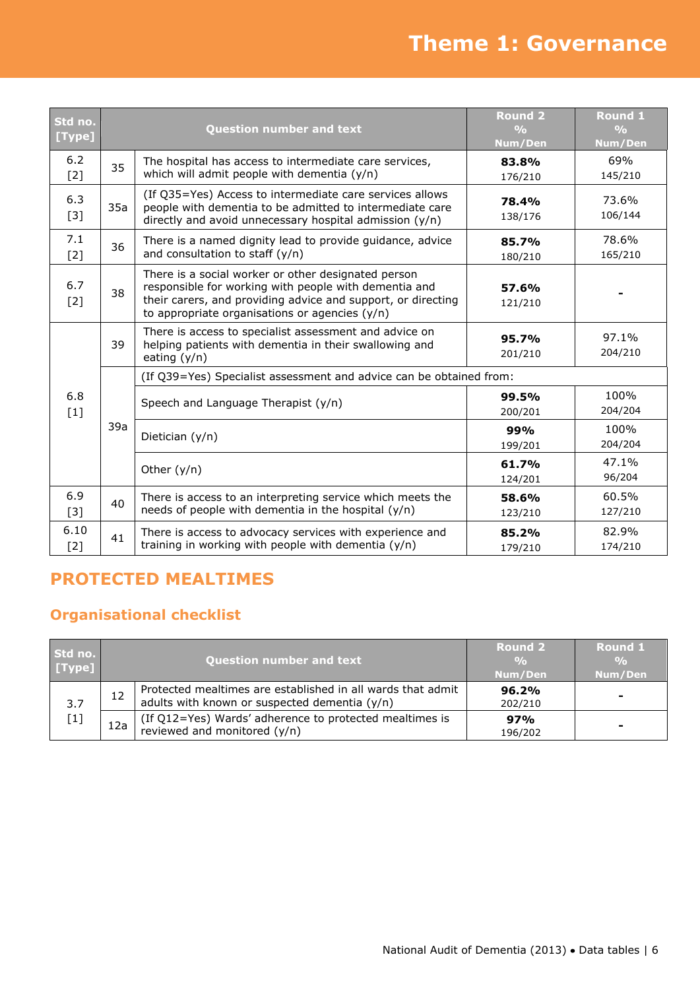# **Theme 1: Governance**

| Std no.<br>[Type] | <b>Question number and text</b> |                                                                                                                                                                                                                                  | <b>Round 2</b><br>$\frac{0}{0}$<br>Num/Den | Round 1<br>$\frac{O}{O}$<br>Num/Den |
|-------------------|---------------------------------|----------------------------------------------------------------------------------------------------------------------------------------------------------------------------------------------------------------------------------|--------------------------------------------|-------------------------------------|
| 6.2<br>$[2]$      | 35                              | The hospital has access to intermediate care services,<br>which will admit people with dementia (y/n)                                                                                                                            | 83.8%<br>176/210                           | 69%<br>145/210                      |
| 6.3<br>$[3]$      | 35a                             | (If Q35=Yes) Access to intermediate care services allows<br>people with dementia to be admitted to intermediate care<br>directly and avoid unnecessary hospital admission $(y/n)$                                                | 78.4%<br>138/176                           | 73.6%<br>106/144                    |
| 7.1<br>[2]        | 36                              | There is a named dignity lead to provide guidance, advice<br>and consultation to staff (y/n)                                                                                                                                     | 85.7%<br>180/210                           | 78.6%<br>165/210                    |
| 6.7<br>$[2]$      | 38                              | There is a social worker or other designated person<br>responsible for working with people with dementia and<br>their carers, and providing advice and support, or directing<br>to appropriate organisations or agencies $(y/n)$ | 57.6%<br>121/210                           |                                     |
|                   | 39                              | There is access to specialist assessment and advice on<br>helping patients with dementia in their swallowing and<br>eating $(y/n)$                                                                                               | 95.7%<br>201/210                           | 97.1%<br>204/210                    |
|                   |                                 | (If Q39=Yes) Specialist assessment and advice can be obtained from:                                                                                                                                                              |                                            |                                     |
| 6.8<br>$[1]$      |                                 | Speech and Language Therapist (y/n)                                                                                                                                                                                              | 99.5%<br>200/201                           | 100%<br>204/204                     |
|                   | 39a                             | Dietician (y/n)                                                                                                                                                                                                                  | 99%<br>199/201                             | 100%<br>204/204                     |
|                   |                                 | Other $(y/n)$                                                                                                                                                                                                                    | 61.7%<br>124/201                           | 47.1%<br>96/204                     |
| 6.9<br>$[3]$      | 40                              | There is access to an interpreting service which meets the<br>needs of people with dementia in the hospital $(y/n)$                                                                                                              | 58.6%<br>123/210                           | 60.5%<br>127/210                    |
| 6.10<br>$[2]$     | 41                              | There is access to advocacy services with experience and<br>training in working with people with dementia $(y/n)$                                                                                                                | 85.2%<br>179/210                           | 82.9%<br>174/210                    |

# **PROTECTED MEALTIMES**

| Std no.<br>[Type] | <b>Question number and text</b> |                                                                                                              | <b>Round 2</b><br>$\frac{O}{O}$<br>Num/Den | <b>Round 1</b><br>$\frac{6}{2}$<br>Num/Den |
|-------------------|---------------------------------|--------------------------------------------------------------------------------------------------------------|--------------------------------------------|--------------------------------------------|
| 3.7<br>$[1]$      | 12                              | Protected mealtimes are established in all wards that admit<br>adults with known or suspected dementia (y/n) | 96.2%<br>202/210                           |                                            |
|                   | 12a                             | (If Q12=Yes) Wards' adherence to protected mealtimes is<br>reviewed and monitored (y/n)                      | 97%<br>196/202                             |                                            |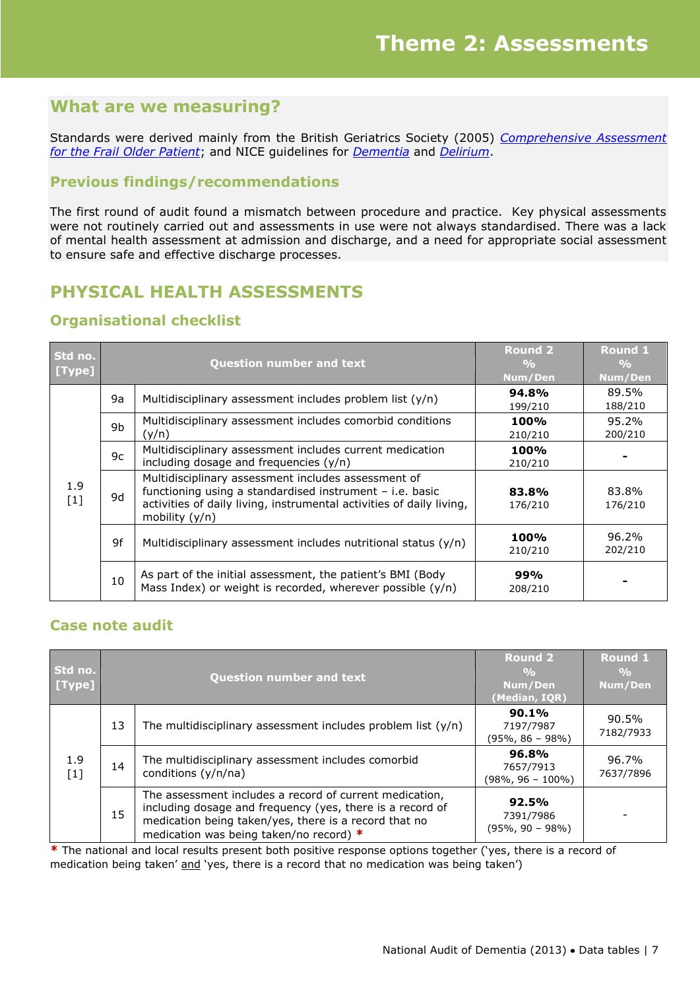Standards were derived mainly from the British Geriatrics Society (2005) *[Comprehensive Assessment](http://www.bgs.org.uk/index.php?option=com_content&view=article&id=195:gpgcgassessment&catid=12:goodpractice&Itemid=106)  [for the Frail Older Patient](http://www.bgs.org.uk/index.php?option=com_content&view=article&id=195:gpgcgassessment&catid=12:goodpractice&Itemid=106)*; and NICE guidelines for *[Dementia](http://www.nice.org.uk/nicemedia/live/10998/30318/30318.pdf)* and *[Delirium](http://www.nice.org.uk/nicemedia/live/13060/49909/49909.pdf)*.

### **Previous findings/recommendations**

The first round of audit found a mismatch between procedure and practice. Key physical assessments were not routinely carried out and assessments in use were not always standardised. There was a lack of mental health assessment at admission and discharge, and a need for appropriate social assessment to ensure safe and effective discharge processes.

### **PHYSICAL HEALTH ASSESSMENTS**

### **Organisational checklist**

| Std no.<br>[Type] |                | <b>Question number and text</b>                                                                                                                                                                           | <b>Round 2</b><br>$\frac{0}{0}$<br>Num/Den | <b>Round 1</b><br>$\frac{0}{\alpha}$<br>Num/Den |
|-------------------|----------------|-----------------------------------------------------------------------------------------------------------------------------------------------------------------------------------------------------------|--------------------------------------------|-------------------------------------------------|
|                   | 9a             | Multidisciplinary assessment includes problem list (y/n)                                                                                                                                                  | 94.8%<br>199/210                           | 89.5%<br>188/210                                |
|                   | 9 <sub>b</sub> | Multidisciplinary assessment includes comorbid conditions<br>(y/n)                                                                                                                                        | <b>100%</b><br>210/210                     | 95.2%<br>200/210                                |
|                   | 9c             | Multidisciplinary assessment includes current medication<br>including dosage and frequencies $(y/n)$                                                                                                      | <b>100%</b><br>210/210                     |                                                 |
| 1.9<br>$[1]$      | 9d             | Multidisciplinary assessment includes assessment of<br>functioning using a standardised instrument - i.e. basic<br>activities of daily living, instrumental activities of daily living,<br>mobility (y/n) | 83.8%<br>176/210                           | 83.8%<br>176/210                                |
|                   | 9f             | Multidisciplinary assessment includes nutritional status (y/n)                                                                                                                                            | 100%<br>210/210                            | 96.2%<br>202/210                                |
|                   | 10             | As part of the initial assessment, the patient's BMI (Body<br>Mass Index) or weight is recorded, wherever possible $(y/n)$                                                                                | 99%<br>208/210                             |                                                 |

### **Case note audit**

| Std no.<br>[Type] |    | <b>Question number and text</b>                                                                                                                                                                                          | <b>Round 2</b><br>$\frac{0}{0}$<br>Num/Den<br>(Median, IQR) | <b>Round 1</b><br>$\frac{0}{0}$<br>Num/Den |
|-------------------|----|--------------------------------------------------------------------------------------------------------------------------------------------------------------------------------------------------------------------------|-------------------------------------------------------------|--------------------------------------------|
|                   | 13 | The multidisciplinary assessment includes problem list $(y/n)$                                                                                                                                                           | 90.1%<br>7197/7987<br>$(95\%, 86 - 98\%)$                   | 90.5%<br>7182/7933                         |
| 1.9<br>$[1]$      | 14 | The multidisciplinary assessment includes comorbid<br>conditions (y/n/na)                                                                                                                                                | 96.8%<br>7657/7913<br>(98%, 96 – 100%)                      | 96.7%<br>7637/7896                         |
|                   | 15 | The assessment includes a record of current medication,<br>including dosage and frequency (yes, there is a record of<br>medication being taken/yes, there is a record that no<br>medication was being taken/no record) * | 92.5%<br>7391/7986<br>$(95\%, 90 - 98\%)$                   |                                            |

**\*** The national and local results present both positive response options together ('yes, there is a record of medication being taken' and 'yes, there is a record that no medication was being taken')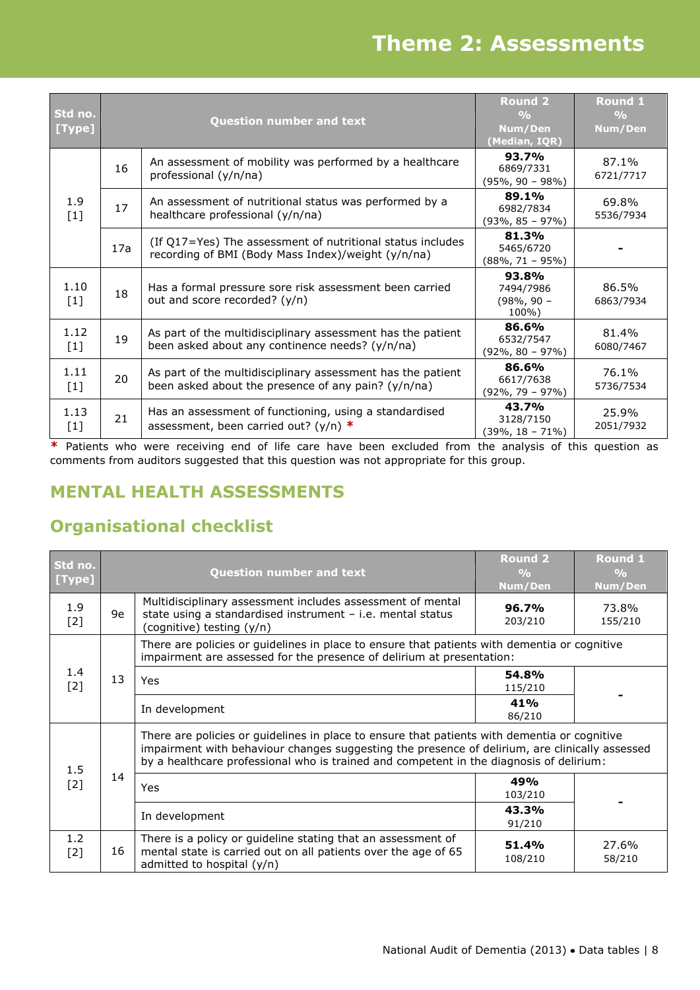# **Theme 2: Assessments**

| Std no.<br>[Type] |     | <b>Question number and text</b>                                                                                    | <b>Round 2</b><br>$\frac{0}{0}$<br>Num/Den<br>(Median, IQR) | <b>Round 1</b><br>$\frac{0}{0}$<br>Num/Den |
|-------------------|-----|--------------------------------------------------------------------------------------------------------------------|-------------------------------------------------------------|--------------------------------------------|
|                   | 16  | An assessment of mobility was performed by a healthcare<br>professional (y/n/na)                                   | 93.7%<br>6869/7331<br>$(95\%, 90 - 98\%)$                   | 87.1%<br>6721/7717                         |
| 1.9<br>$[1]$      | 17  | An assessment of nutritional status was performed by a<br>healthcare professional (y/n/na)                         | 89.1%<br>6982/7834<br>$(93\%, 85 - 97\%)$                   | 69.8%<br>5536/7934                         |
|                   | 17a | (If Q17=Yes) The assessment of nutritional status includes<br>recording of BMI (Body Mass Index)/weight (y/n/na)   | 81.3%<br>5465/6720<br>$(88\%, 71 - 95\%)$                   |                                            |
| 1.10<br>$[1]$     | 18  | Has a formal pressure sore risk assessment been carried<br>out and score recorded? (y/n)                           | 93.8%<br>7494/7986<br>$(98\%, 90 -$<br>100%)                | 86.5%<br>6863/7934                         |
| 1.12<br>$[1]$     | 19  | As part of the multidisciplinary assessment has the patient<br>been asked about any continence needs? (y/n/na)     | 86.6%<br>6532/7547<br>$(92\%, 80 - 97\%)$                   | 81.4%<br>6080/7467                         |
| 1.11<br>$[1]$     | 20  | As part of the multidisciplinary assessment has the patient<br>been asked about the presence of any pain? (y/n/na) | 86.6%<br>6617/7638<br>$(92\%, 79 - 97\%)$                   | 76.1%<br>5736/7534                         |
| 1.13<br>$[1]$     | 21  | Has an assessment of functioning, using a standardised<br>assessment, been carried out? (y/n) $*$                  | 43.7%<br>3128/7150<br>$(39\%, 18 - 71\%)$                   | 25.9%<br>2051/7932                         |

**\*** Patients who were receiving end of life care have been excluded from the analysis of this question as comments from auditors suggested that this question was not appropriate for this group.

# **MENTAL HEALTH ASSESSMENTS**

| Std no.<br>[Type] |    | <b>Question number and text</b>                                                                                                                                                                                                                                                           | <b>Round 2</b><br>O <sub>0</sub><br>Num/Den | <b>Round 1</b><br>$\frac{0}{0}$<br>Num/Den |
|-------------------|----|-------------------------------------------------------------------------------------------------------------------------------------------------------------------------------------------------------------------------------------------------------------------------------------------|---------------------------------------------|--------------------------------------------|
| 1.9<br>$[2]$      | 9e | Multidisciplinary assessment includes assessment of mental<br>state using a standardised instrument $-$ i.e. mental status<br>(cognitive) testing (y/n)                                                                                                                                   | 96.7%<br>203/210                            | 73.8%<br>155/210                           |
|                   |    | There are policies or guidelines in place to ensure that patients with dementia or cognitive<br>impairment are assessed for the presence of delirium at presentation:                                                                                                                     |                                             |                                            |
| 1.4<br>$[2]$      | 13 | Yes                                                                                                                                                                                                                                                                                       | 54.8%<br>115/210                            |                                            |
|                   |    | In development                                                                                                                                                                                                                                                                            | 41%<br>86/210                               |                                            |
| 1.5<br>$[2]$      |    | There are policies or guidelines in place to ensure that patients with dementia or cognitive<br>impairment with behaviour changes suggesting the presence of delirium, are clinically assessed<br>by a healthcare professional who is trained and competent in the diagnosis of delirium: |                                             |                                            |
|                   | 14 | Yes                                                                                                                                                                                                                                                                                       | 49%<br>103/210                              |                                            |
|                   |    | In development                                                                                                                                                                                                                                                                            | 43.3%<br>91/210                             |                                            |
| 1.2<br>$[2]$      | 16 | There is a policy or guideline stating that an assessment of<br>mental state is carried out on all patients over the age of 65<br>admitted to hospital (y/n)                                                                                                                              | 51.4%<br>108/210                            | 27.6%<br>58/210                            |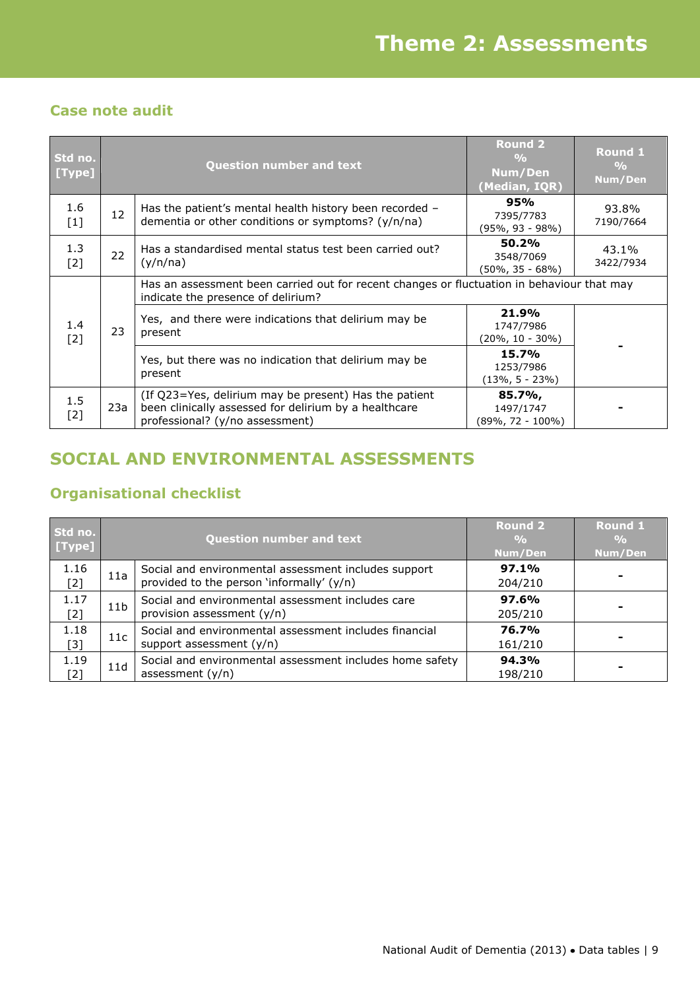### **Case note audit**

| Std no.<br>[Type] |     | <b>Question number and text</b>                                                                                                                   | <b>Round 2</b><br>$\frac{0}{0}$<br>Num/Den<br>(Median, IQR)     | <b>Round 1</b><br>$\frac{0}{0}$<br>Num/Den |  |
|-------------------|-----|---------------------------------------------------------------------------------------------------------------------------------------------------|-----------------------------------------------------------------|--------------------------------------------|--|
| 1.6<br>$[1]$      | 12  | Has the patient's mental health history been recorded -<br>dementia or other conditions or symptoms? (y/n/na)                                     | 95%<br>7395/7783<br>(95%, 93 - 98%)                             | 93.8%<br>7190/7664                         |  |
| 1.3<br>$[2]$      | 22  | Has a standardised mental status test been carried out?<br>(y/n/na)                                                                               | 50.2%<br>3548/7069<br>$(50\% , 35 - 68\%)$                      | 43.1%<br>3422/7934                         |  |
|                   | 23  | Has an assessment been carried out for recent changes or fluctuation in behaviour that may<br>indicate the presence of delirium?                  |                                                                 |                                            |  |
| 1.4<br>$[2]$      |     |                                                                                                                                                   | Yes, and there were indications that delirium may be<br>present | 21.9%<br>1747/7986<br>$(20\%, 10 - 30\%)$  |  |
|                   |     | Yes, but there was no indication that delirium may be<br>present                                                                                  | 15.7%<br>1253/7986<br>$(13\%, 5 - 23\%)$                        |                                            |  |
| 1.5<br>$[2]$      | 23a | (If Q23=Yes, delirium may be present) Has the patient<br>been clinically assessed for delirium by a healthcare<br>professional? (y/no assessment) | 85.7%,<br>1497/1747<br>$(89\%, 72 - 100\%)$                     |                                            |  |

# **SOCIAL AND ENVIRONMENTAL ASSESSMENTS**

| Std no.<br>[Type] |                 | <b>Question number and text</b>                                                                   | <b>Round 2</b><br>$\frac{0}{0}$<br>Num/Den | <b>Round 1</b><br>$\frac{0}{0}$<br>Num/Den |
|-------------------|-----------------|---------------------------------------------------------------------------------------------------|--------------------------------------------|--------------------------------------------|
| 1.16<br>$[2]$     | 11a             | Social and environmental assessment includes support<br>provided to the person 'informally' (y/n) | 97.1%<br>204/210                           |                                            |
| 1.17<br>$[2]$     | 11 <sub>b</sub> | Social and environmental assessment includes care<br>provision assessment (y/n)                   | 97.6%<br>205/210                           |                                            |
| 1.18<br>$[3]$     | 11c             | Social and environmental assessment includes financial<br>support assessment (y/n)                | 76.7%<br>161/210                           |                                            |
| 1.19<br>[2]       | 11d             | Social and environmental assessment includes home safety<br>assessment $(y/n)$                    | 94.3%<br>198/210                           |                                            |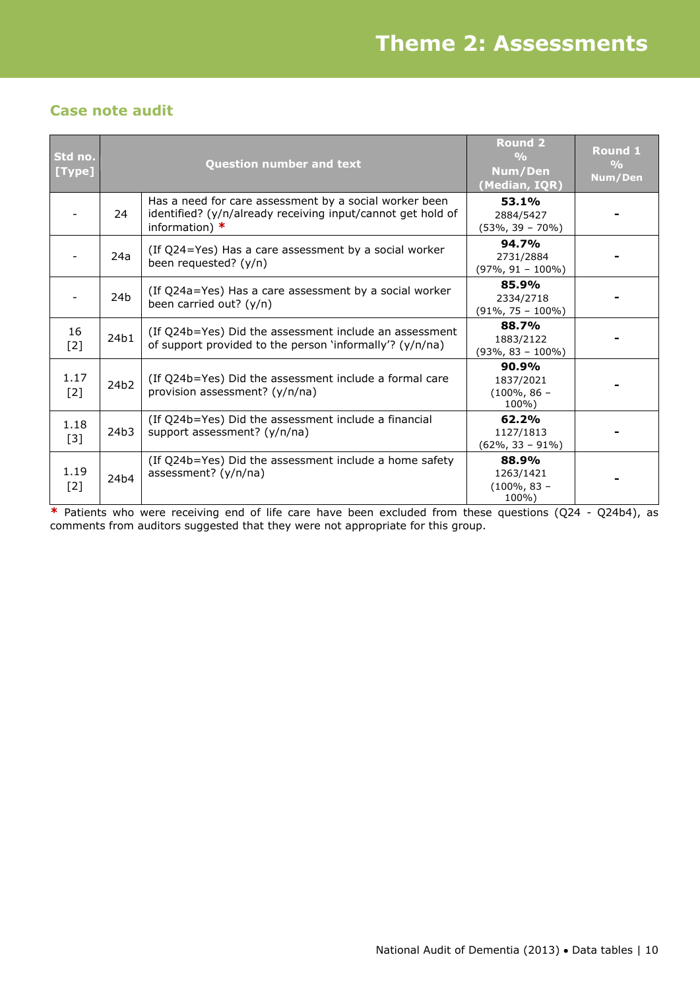### **Case note audit**

| Std no.<br>[Type] |      | <b>Question number and text</b>                                                                                                           | <b>Round 2</b><br>$\frac{0}{0}$<br>Num/Den<br>(Median, IQR) | Round 1<br>$\frac{0}{0}$<br>Num/Den |
|-------------------|------|-------------------------------------------------------------------------------------------------------------------------------------------|-------------------------------------------------------------|-------------------------------------|
|                   | 24   | Has a need for care assessment by a social worker been<br>identified? (y/n/already receiving input/cannot get hold of<br>information) $*$ | 53.1%<br>2884/5427<br>$(53\%, 39 - 70\%)$                   |                                     |
|                   | 24a  | (If Q24=Yes) Has a care assessment by a social worker<br>been requested? (y/n)                                                            | 94.7%<br>2731/2884<br>$(97\%, 91 - 100\%)$                  |                                     |
|                   | 24b  | (If Q24a=Yes) Has a care assessment by a social worker<br>been carried out? $(y/n)$                                                       | 85.9%<br>2334/2718<br>$(91\%, 75 - 100\%)$                  |                                     |
| 16<br>$[2]$       | 24b1 | (If Q24b=Yes) Did the assessment include an assessment<br>of support provided to the person 'informally'? (y/n/na)                        | 88.7%<br>1883/2122<br>$(93\%, 83 - 100\%)$                  |                                     |
| 1.17<br>$[2]$     | 24b2 | (If Q24b=Yes) Did the assessment include a formal care<br>provision assessment? (y/n/na)                                                  | $90.9\%$<br>1837/2021<br>$(100\%, 86 -$<br>100%)            |                                     |
| 1.18<br>$[3]$     | 24b3 | (If Q24b=Yes) Did the assessment include a financial<br>support assessment? (y/n/na)                                                      | 62.2%<br>1127/1813<br>$(62\%, 33 - 91\%)$                   |                                     |
| 1.19<br>$[2]$     | 24b4 | (If Q24b=Yes) Did the assessment include a home safety<br>assessment? (y/n/na)                                                            | 88.9%<br>1263/1421<br>$(100\%, 83 -$<br>100%)               |                                     |

**\*** Patients who were receiving end of life care have been excluded from these questions (Q24 - Q24b4), as comments from auditors suggested that they were not appropriate for this group.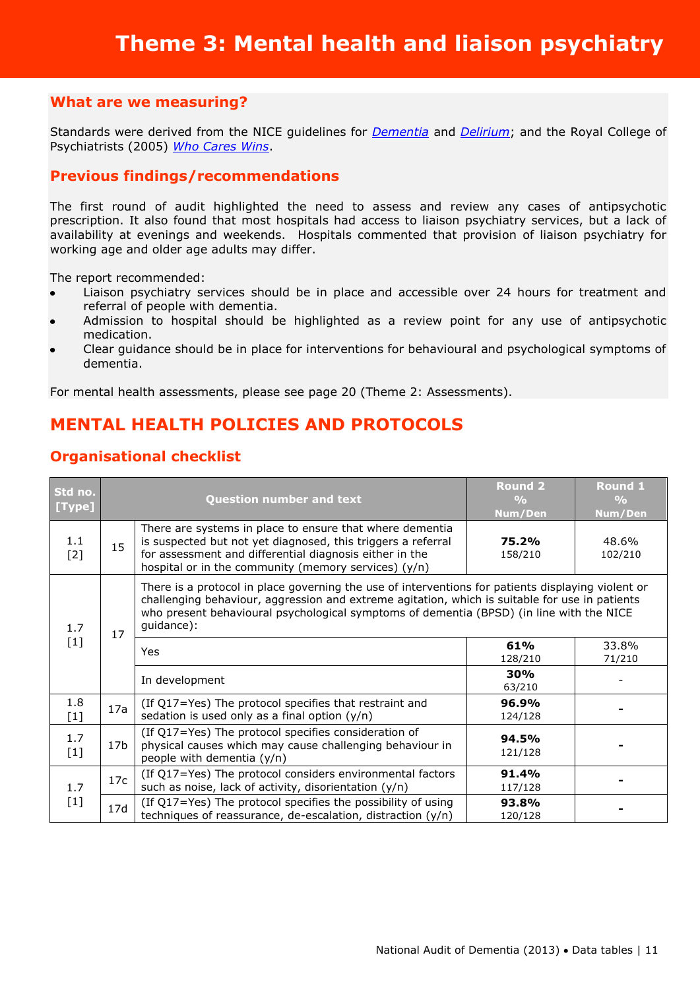Standards were derived from the NICE guidelines for *[Dementia](http://www.nice.org.uk/nicemedia/live/10998/30318/30318.pdf)* and *[Delirium](http://www.nice.org.uk/nicemedia/live/13060/49909/49909.pdf)*; and the Royal College of Psychiatrists (2005) *[Who Cares Wins](http://www.rcpsych.ac.uk/PDF/WhoCaresWins.pdf)*.

### **Previous findings/recommendations**

The first round of audit highlighted the need to assess and review any cases of antipsychotic prescription. It also found that most hospitals had access to liaison psychiatry services, but a lack of availability at evenings and weekends. Hospitals commented that provision of liaison psychiatry for working age and older age adults may differ.

The report recommended:

- Liaison psychiatry services should be in place and accessible over 24 hours for treatment and  $\bullet$ referral of people with dementia.
- Admission to hospital should be highlighted as a review point for any use of antipsychotic medication.
- Clear guidance should be in place for interventions for behavioural and psychological symptoms of dementia.

For mental health assessments, please see page 20 (Theme 2: Assessments).

### **MENTAL HEALTH POLICIES AND PROTOCOLS**

| Std no.<br>[Type] |                                                                                                                                                                   | <b>Question number and text</b>                                                                                                                                                                                                                                                                                | <b>Round 2</b><br>$\frac{O}{O}$<br>Num/Den | <b>Round 1</b><br>$\frac{O}{O}$<br>Num/Den |
|-------------------|-------------------------------------------------------------------------------------------------------------------------------------------------------------------|----------------------------------------------------------------------------------------------------------------------------------------------------------------------------------------------------------------------------------------------------------------------------------------------------------------|--------------------------------------------|--------------------------------------------|
| 1.1<br>$[2]$      | 15                                                                                                                                                                | There are systems in place to ensure that where dementia<br>is suspected but not yet diagnosed, this triggers a referral<br>for assessment and differential diagnosis either in the<br>hospital or in the community (memory services) $(y/n)$                                                                  | 75.2%<br>158/210                           | 48.6%<br>102/210                           |
| 1.7               | 17                                                                                                                                                                | There is a protocol in place governing the use of interventions for patients displaying violent or<br>challenging behaviour, aggression and extreme agitation, which is suitable for use in patients<br>who present behavioural psychological symptoms of dementia (BPSD) (in line with the NICE<br>guidance): |                                            |                                            |
| $[1]$             |                                                                                                                                                                   | <b>Yes</b>                                                                                                                                                                                                                                                                                                     | 61%<br>128/210                             | 33.8%<br>71/210                            |
|                   |                                                                                                                                                                   | In development                                                                                                                                                                                                                                                                                                 | 30%<br>63/210                              |                                            |
| 1.8<br>$[1]$      | 17a                                                                                                                                                               | (If Q17=Yes) The protocol specifies that restraint and<br>sedation is used only as a final option $(y/n)$                                                                                                                                                                                                      | 96.9%<br>124/128                           |                                            |
| 1.7<br>$[1]$      | (If Q17=Yes) The protocol specifies consideration of<br>physical causes which may cause challenging behaviour in<br>17 <sub>b</sub><br>people with dementia (y/n) |                                                                                                                                                                                                                                                                                                                | 94.5%<br>121/128                           |                                            |
| 1.7               | 17c                                                                                                                                                               | (If Q17=Yes) The protocol considers environmental factors<br>such as noise, lack of activity, disorientation (y/n)                                                                                                                                                                                             | 91.4%<br>117/128                           |                                            |
| $[1]$             | 17d                                                                                                                                                               | (If Q17=Yes) The protocol specifies the possibility of using<br>techniques of reassurance, de-escalation, distraction (y/n)                                                                                                                                                                                    | 93.8%<br>120/128                           |                                            |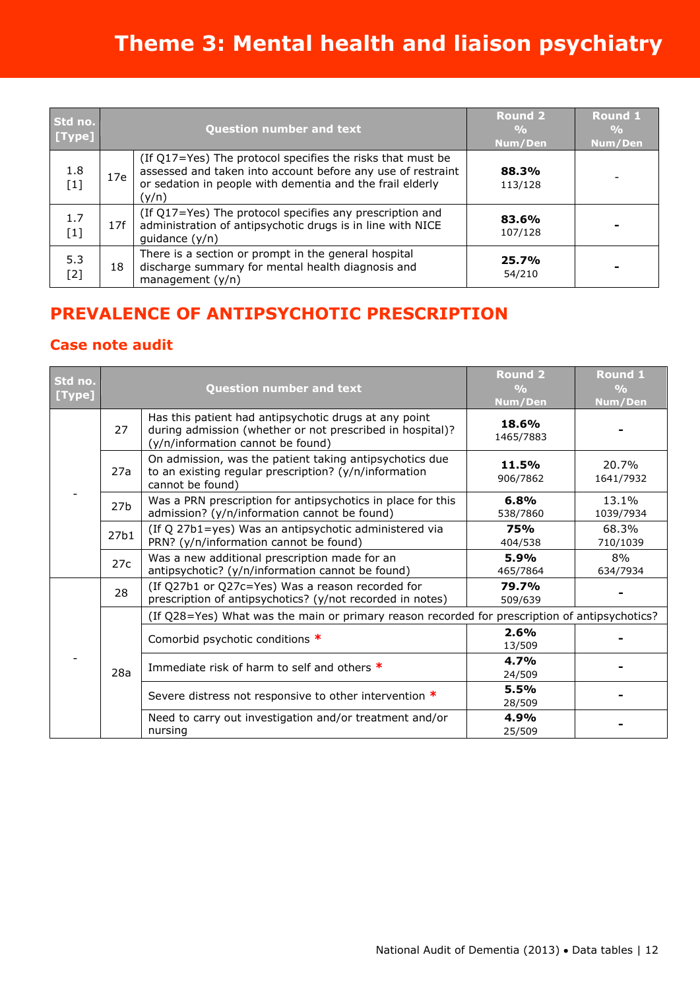| Std no.<br>[Type] |     | <b>Question number and text</b>                                                                                                                                                                 | <b>Round 2</b><br>$\frac{0}{0}$<br>Num/Den | <b>Round 1</b><br>$\frac{9}{6}$<br>Num/Den |
|-------------------|-----|-------------------------------------------------------------------------------------------------------------------------------------------------------------------------------------------------|--------------------------------------------|--------------------------------------------|
| 1.8<br>$[1]$      | 17e | (If Q17=Yes) The protocol specifies the risks that must be<br>assessed and taken into account before any use of restraint<br>or sedation in people with dementia and the frail elderly<br>(y/n) | 88.3%<br>113/128                           |                                            |
| 1.7<br>$[1]$      | 17f | (If Q17=Yes) The protocol specifies any prescription and<br>administration of antipsychotic drugs is in line with NICE<br>guidance $(y/n)$                                                      | 83.6%<br>107/128                           |                                            |
| 5.3<br>[2]        | 18  | There is a section or prompt in the general hospital<br>discharge summary for mental health diagnosis and<br>management $(y/n)$                                                                 | 25.7%<br>54/210                            |                                            |

# **PREVALENCE OF ANTIPSYCHOTIC PRESCRIPTION**

### **Case note audit**

| Std no.<br>[Type] |                  | <b>Question number and text</b>                                                                                                                         | <b>Round 2</b><br>$\frac{0}{0}$<br>Num/Den | <b>Round 1</b><br>$\frac{O}{O}$<br>Num/Den |  |
|-------------------|------------------|---------------------------------------------------------------------------------------------------------------------------------------------------------|--------------------------------------------|--------------------------------------------|--|
|                   | 27               | Has this patient had antipsychotic drugs at any point<br>during admission (whether or not prescribed in hospital)?<br>(y/n/information cannot be found) | 18.6%<br>1465/7883                         |                                            |  |
|                   | 27a              | On admission, was the patient taking antipsychotics due<br>to an existing regular prescription? (y/n/information<br>cannot be found)                    | 11.5%<br>906/7862                          | 20.7%<br>1641/7932                         |  |
|                   | 27 <sub>b</sub>  | Was a PRN prescription for antipsychotics in place for this<br>admission? (y/n/information cannot be found)                                             | 6.8%<br>538/7860                           | 13.1%<br>1039/7934                         |  |
|                   | 27 <sub>b1</sub> | (If Q 27b1=yes) Was an antipsychotic administered via<br>PRN? (y/n/information cannot be found)                                                         | <b>75%</b><br>404/538                      | 68.3%<br>710/1039                          |  |
|                   | 27c              | Was a new additional prescription made for an<br>antipsychotic? (y/n/information cannot be found)                                                       | 5.9%<br>465/7864                           | 8%<br>634/7934                             |  |
|                   | 28               | (If Q27b1 or Q27c=Yes) Was a reason recorded for<br>prescription of antipsychotics? (y/not recorded in notes)                                           | 79.7%<br>509/639                           |                                            |  |
|                   |                  | (If Q28=Yes) What was the main or primary reason recorded for prescription of antipsychotics?                                                           |                                            |                                            |  |
|                   |                  | Comorbid psychotic conditions *                                                                                                                         | 2.6%<br>13/509                             |                                            |  |
|                   | 28a              | Immediate risk of harm to self and others $*$                                                                                                           | 4.7%<br>24/509                             |                                            |  |
|                   |                  | Severe distress not responsive to other intervention *                                                                                                  | 5.5%<br>28/509                             |                                            |  |
|                   |                  | Need to carry out investigation and/or treatment and/or<br>nursing                                                                                      | 4.9%<br>25/509                             |                                            |  |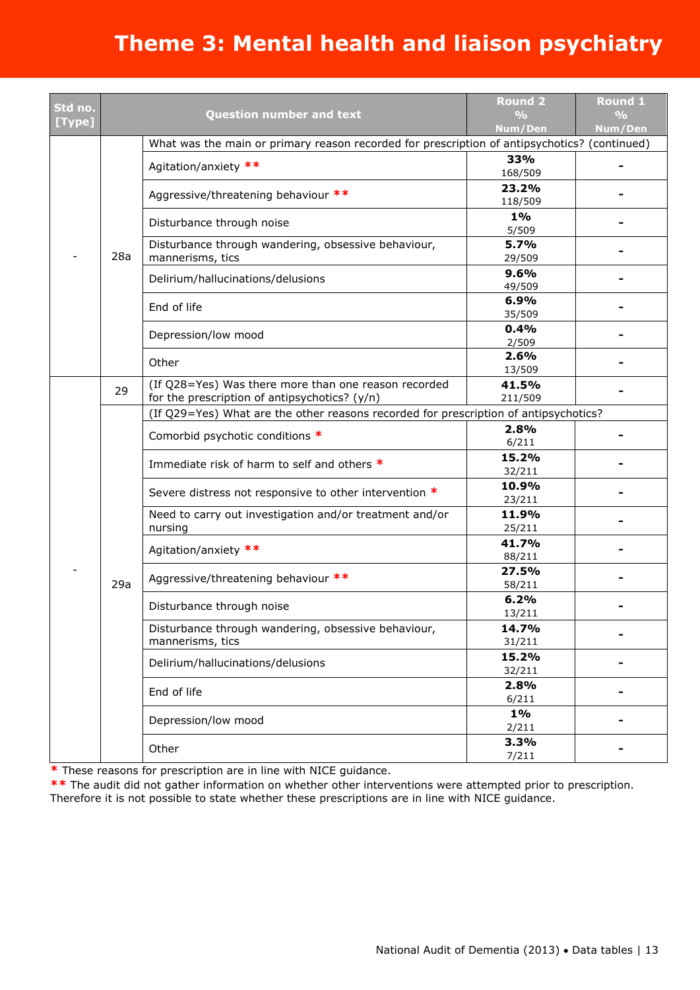| Std no.<br>[Type] |     | <b>Question number and text</b>                                                                       | <b>Round 2</b><br>$\frac{0}{0}$<br>Num/Den                         | <b>Round 1</b><br>$\frac{0}{0}$<br>Num/Den                              |                 |  |       |
|-------------------|-----|-------------------------------------------------------------------------------------------------------|--------------------------------------------------------------------|-------------------------------------------------------------------------|-----------------|--|-------|
|                   |     | What was the main or primary reason recorded for prescription of antipsychotics? (continued)          |                                                                    |                                                                         |                 |  |       |
|                   |     | Agitation/anxiety **                                                                                  | 33%<br>168/509                                                     |                                                                         |                 |  |       |
|                   |     | Aggressive/threatening behaviour **                                                                   | 23.2%<br>118/509                                                   |                                                                         |                 |  |       |
|                   |     | Disturbance through noise                                                                             | $1\%$<br>5/509                                                     |                                                                         |                 |  |       |
|                   | 28a | Disturbance through wandering, obsessive behaviour,<br>mannerisms, tics                               | 5.7%<br>29/509                                                     |                                                                         |                 |  |       |
|                   |     | Delirium/hallucinations/delusions                                                                     | 9.6%<br>49/509                                                     |                                                                         |                 |  |       |
|                   |     | End of life                                                                                           | 6.9%<br>35/509                                                     |                                                                         |                 |  |       |
|                   |     |                                                                                                       | Depression/low mood                                                | 0.4%<br>2/509                                                           |                 |  |       |
|                   |     |                                                                                                       |                                                                    |                                                                         |                 |  | Other |
|                   | 29  | (If Q28=Yes) Was there more than one reason recorded<br>for the prescription of antipsychotics? (y/n) | 41.5%<br>211/509                                                   |                                                                         |                 |  |       |
|                   |     | (If Q29=Yes) What are the other reasons recorded for prescription of antipsychotics?                  |                                                                    |                                                                         |                 |  |       |
|                   |     | Comorbid psychotic conditions *                                                                       | 2.8%<br>6/211                                                      |                                                                         |                 |  |       |
|                   |     | Immediate risk of harm to self and others *                                                           | 15.2%<br>32/211                                                    |                                                                         |                 |  |       |
|                   |     |                                                                                                       | Severe distress not responsive to other intervention *             | 10.9%<br>23/211                                                         |                 |  |       |
|                   |     |                                                                                                       | Need to carry out investigation and/or treatment and/or<br>nursing | 11.9%<br>25/211                                                         |                 |  |       |
|                   |     | Agitation/anxiety **                                                                                  | 41.7%<br>88/211                                                    |                                                                         |                 |  |       |
|                   | 29a | Aggressive/threatening behaviour **                                                                   | 27.5%<br>58/211                                                    |                                                                         |                 |  |       |
|                   |     | Disturbance through noise                                                                             | 6.2%<br>13/211                                                     |                                                                         |                 |  |       |
|                   |     |                                                                                                       |                                                                    | Disturbance through wandering, obsessive behaviour,<br>mannerisms, tics | 14.7%<br>31/211 |  |       |
|                   |     | Delirium/hallucinations/delusions                                                                     | 15.2%<br>32/211                                                    |                                                                         |                 |  |       |
|                   |     | End of life                                                                                           | 2.8%<br>6/211                                                      |                                                                         |                 |  |       |
|                   |     | Depression/low mood                                                                                   | $1\%$<br>2/211                                                     |                                                                         |                 |  |       |
|                   |     | Other                                                                                                 | 3.3%<br>7/211                                                      |                                                                         |                 |  |       |

**\*** These reasons for prescription are in line with NICE guidance.

**\*\*** The audit did not gather information on whether other interventions were attempted prior to prescription. Therefore it is not possible to state whether these prescriptions are in line with NICE guidance.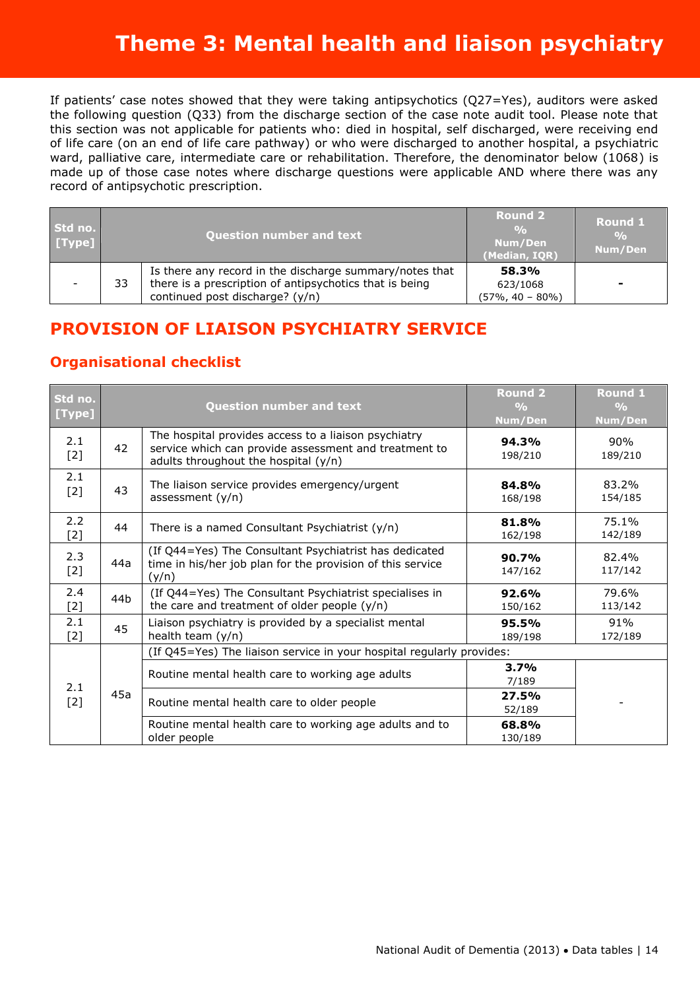If patients' case notes showed that they were taking antipsychotics (Q27=Yes), auditors were asked the following question (Q33) from the discharge section of the case note audit tool. Please note that this section was not applicable for patients who: died in hospital, self discharged, were receiving end of life care (on an end of life care pathway) or who were discharged to another hospital, a psychiatric ward, palliative care, intermediate care or rehabilitation. Therefore, the denominator below (1068) is made up of those case notes where discharge questions were applicable AND where there was any record of antipsychotic prescription.

| Std no.<br>[Type] | <b>Question number and text</b> |                                                                                                                                                       | <b>Round 2</b><br>$\frac{O}{O}$<br>Num/Den<br>(Median, IOR) | Round 1<br>$\frac{O}{O}$<br>Num/Den |
|-------------------|---------------------------------|-------------------------------------------------------------------------------------------------------------------------------------------------------|-------------------------------------------------------------|-------------------------------------|
|                   | 33                              | Is there any record in the discharge summary/notes that<br>there is a prescription of antipsychotics that is being<br>continued post discharge? (y/n) | 58.3%<br>623/1068<br>$(57\% , 40 - 80\%)$                   |                                     |

# **PROVISION OF LIAISON PSYCHIATRY SERVICE**

| Std no.<br>[Type] |                                                                                                                                                             | <b>Question number and text</b>                                                                                               | <b>Round 2</b><br>$\frac{0}{0}$<br>Num/Den | Round 1<br>$\frac{O}{O}$<br>Num/Den |
|-------------------|-------------------------------------------------------------------------------------------------------------------------------------------------------------|-------------------------------------------------------------------------------------------------------------------------------|--------------------------------------------|-------------------------------------|
| 2.1<br>$[2]$      | The hospital provides access to a liaison psychiatry<br>42<br>service which can provide assessment and treatment to<br>adults throughout the hospital (y/n) |                                                                                                                               | 94.3%<br>198/210                           | 90%<br>189/210                      |
| 2.1<br>$[2]$      | 43                                                                                                                                                          | The liaison service provides emergency/urgent<br>assessment $(y/n)$                                                           | 84.8%<br>168/198                           | 83.2%<br>154/185                    |
| 2.2<br>$[2]$      | 44                                                                                                                                                          | There is a named Consultant Psychiatrist $(y/n)$                                                                              | 81.8%<br>162/198                           | 75.1%<br>142/189                    |
| 2.3<br>$[2]$      | 44a                                                                                                                                                         | (If Q44=Yes) The Consultant Psychiatrist has dedicated<br>time in his/her job plan for the provision of this service<br>(y/n) | 90.7%<br>147/162                           | 82.4%<br>117/142                    |
| 2.4<br>$[2]$      | 44b                                                                                                                                                         | (If Q44=Yes) The Consultant Psychiatrist specialises in<br>the care and treatment of older people $(y/n)$                     | 92.6%<br>150/162                           | 79.6%<br>113/142                    |
| 2.1<br>$[2]$      | 45                                                                                                                                                          | Liaison psychiatry is provided by a specialist mental<br>health team (y/n)                                                    | 95.5%<br>189/198                           | 91%<br>172/189                      |
|                   |                                                                                                                                                             | (If Q45=Yes) The liaison service in your hospital regularly provides:                                                         |                                            |                                     |
| 2.1<br>$[2]$      |                                                                                                                                                             | Routine mental health care to working age adults                                                                              | 3.7%<br>7/189                              |                                     |
|                   | 45a                                                                                                                                                         | Routine mental health care to older people                                                                                    | 27.5%<br>52/189                            |                                     |
|                   |                                                                                                                                                             | Routine mental health care to working age adults and to<br>older people                                                       | 68.8%<br>130/189                           |                                     |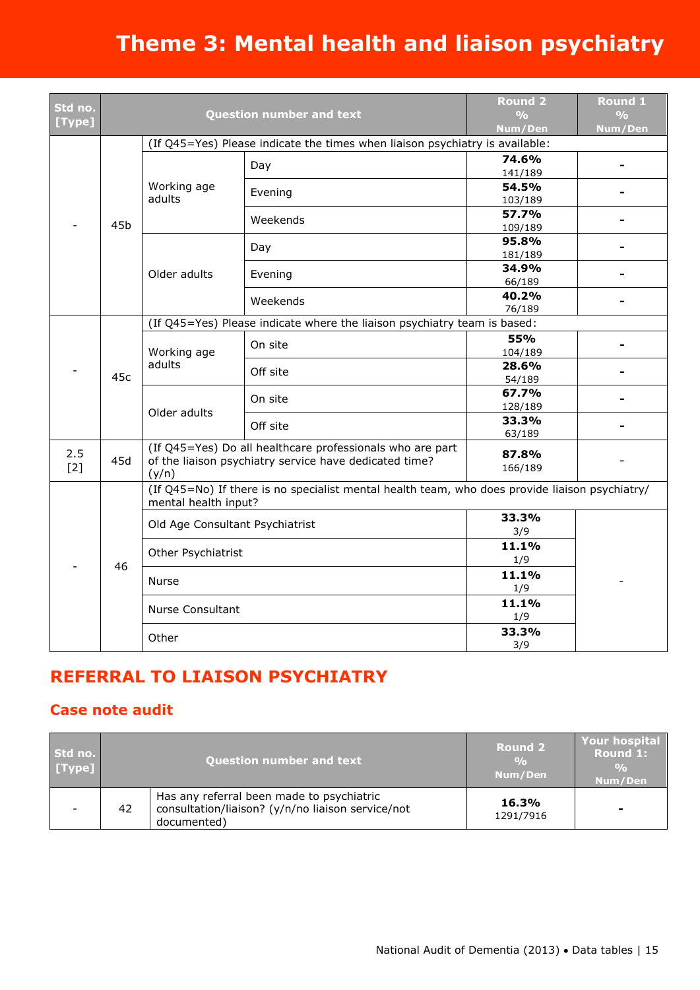| Std no.<br>[Type] |     |                                                                          | <b>Question number and text</b>                                                                                     | <b>Round 2</b><br>$\frac{0}{0}$<br>Num/Den | <b>Round 1</b><br>$\frac{0}{0}$<br>Num/Den |  |  |  |          |                 |  |
|-------------------|-----|--------------------------------------------------------------------------|---------------------------------------------------------------------------------------------------------------------|--------------------------------------------|--------------------------------------------|--|--|--|----------|-----------------|--|
|                   |     |                                                                          | (If Q45=Yes) Please indicate the times when liaison psychiatry is available:                                        |                                            |                                            |  |  |  |          |                 |  |
|                   |     |                                                                          | Day                                                                                                                 | 74.6%<br>141/189                           |                                            |  |  |  |          |                 |  |
|                   |     | Working age<br>adults                                                    | Evening                                                                                                             | 54.5%<br>103/189                           |                                            |  |  |  |          |                 |  |
|                   | 45b |                                                                          | Weekends                                                                                                            | 57.7%<br>109/189                           |                                            |  |  |  |          |                 |  |
|                   |     |                                                                          | Day                                                                                                                 | 95.8%<br>181/189                           |                                            |  |  |  |          |                 |  |
|                   |     | Older adults                                                             | Evening                                                                                                             | 34.9%<br>66/189                            |                                            |  |  |  |          |                 |  |
|                   |     |                                                                          |                                                                                                                     |                                            |                                            |  |  |  | Weekends | 40.2%<br>76/189 |  |
|                   |     | (If Q45=Yes) Please indicate where the liaison psychiatry team is based: |                                                                                                                     |                                            |                                            |  |  |  |          |                 |  |
|                   | 45c | Working age<br>adults                                                    | On site                                                                                                             | 55%<br>104/189                             |                                            |  |  |  |          |                 |  |
|                   |     |                                                                          | Off site                                                                                                            | 28.6%<br>54/189                            |                                            |  |  |  |          |                 |  |
|                   |     |                                                                          | On site                                                                                                             | 67.7%<br>128/189                           |                                            |  |  |  |          |                 |  |
|                   |     |                                                                          | Older adults                                                                                                        | Off site                                   | 33.3%<br>63/189                            |  |  |  |          |                 |  |
| 2.5<br>[2]        | 45d | (y/n)                                                                    | (If Q45=Yes) Do all healthcare professionals who are part<br>of the liaison psychiatry service have dedicated time? |                                            |                                            |  |  |  |          |                 |  |
|                   |     | mental health input?                                                     | (If Q45=No) If there is no specialist mental health team, who does provide liaison psychiatry/                      |                                            |                                            |  |  |  |          |                 |  |
|                   |     | Old Age Consultant Psychiatrist                                          |                                                                                                                     | 33.3%<br>3/9                               |                                            |  |  |  |          |                 |  |
|                   |     | Other Psychiatrist                                                       |                                                                                                                     | 11.1%<br>1/9                               |                                            |  |  |  |          |                 |  |
|                   | 46  | Nurse                                                                    |                                                                                                                     | 11.1%<br>1/9                               |                                            |  |  |  |          |                 |  |
|                   |     | <b>Nurse Consultant</b>                                                  |                                                                                                                     | 11.1%<br>1/9                               |                                            |  |  |  |          |                 |  |
|                   |     | Other                                                                    |                                                                                                                     | 33.3%<br>3/9                               |                                            |  |  |  |          |                 |  |

# **REFERRAL TO LIAISON PSYCHIATRY**

### **Case note audit**

| Std no.<br>[Type] |    | <b>Question number and text</b>                                                                               | <b>Round 2</b><br>$\frac{0}{0}$<br>Num/Den | Your hospital<br><b>Round 1:</b><br>$\frac{9}{6}$<br>Num/Den |
|-------------------|----|---------------------------------------------------------------------------------------------------------------|--------------------------------------------|--------------------------------------------------------------|
|                   | 42 | Has any referral been made to psychiatric<br>consultation/liaison? (y/n/no liaison service/not<br>documented) | 16.3%<br>1291/7916                         | -                                                            |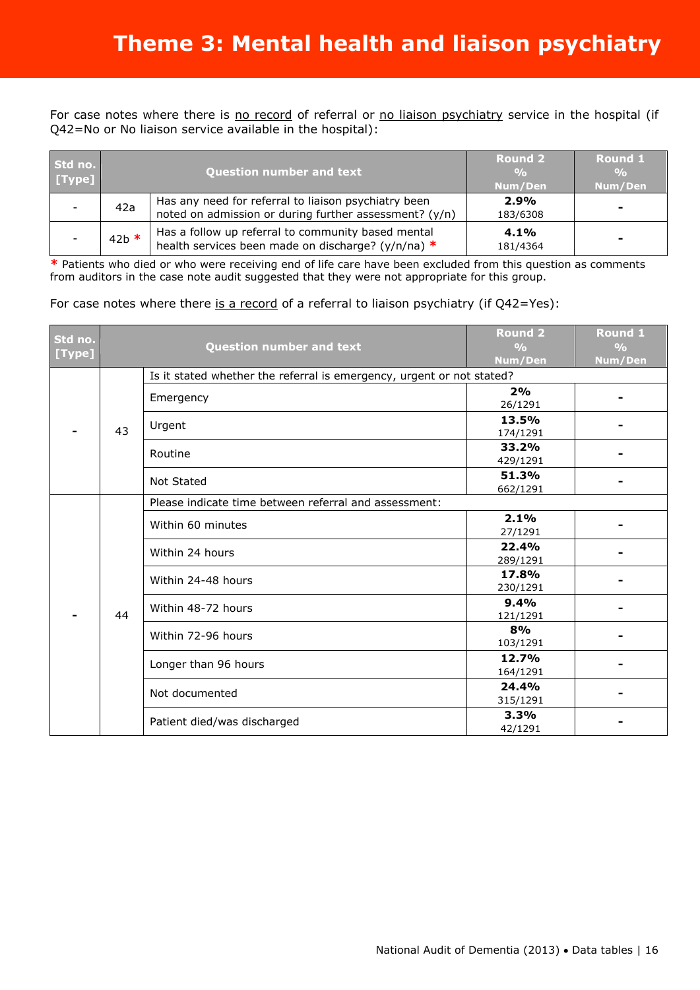For case notes where there is no record of referral or no liaison psychiatry service in the hospital (if Q42=No or No liaison service available in the hospital):

| Std no.<br>[Type] |         | <b>Question number and text</b>                                                                                | <b>Round 2</b><br>$\frac{0}{0}$<br>Num/Den | <b>Round 1</b><br>$\frac{0}{0}$<br>Num/Den |
|-------------------|---------|----------------------------------------------------------------------------------------------------------------|--------------------------------------------|--------------------------------------------|
|                   | 42a     | Has any need for referral to liaison psychiatry been<br>noted on admission or during further assessment? (y/n) | 2.9%<br>183/6308                           |                                            |
|                   | $42b$ * | Has a follow up referral to community based mental<br>health services been made on discharge? (y/n/na) *       | 4.1%<br>181/4364                           |                                            |

**\*** Patients who died or who were receiving end of life care have been excluded from this question as comments from auditors in the case note audit suggested that they were not appropriate for this group.

#### For case notes where there is a record of a referral to liaison psychiatry (if Q42=Yes):

| Std no.<br>[Type] |    | <b>Question number and text</b>                                       | <b>Round 2</b><br>$\frac{O}{O}$<br>Num/Den | <b>Round 1</b><br>$\frac{O}{O}$<br>Num/Den |  |
|-------------------|----|-----------------------------------------------------------------------|--------------------------------------------|--------------------------------------------|--|
|                   |    | Is it stated whether the referral is emergency, urgent or not stated? |                                            |                                            |  |
|                   |    | Emergency                                                             | 2%<br>26/1291                              |                                            |  |
|                   | 43 | Urgent                                                                | 13.5%<br>174/1291                          |                                            |  |
|                   |    | Routine                                                               | 33.2%<br>429/1291                          |                                            |  |
|                   |    |                                                                       | Not Stated                                 | 51.3%<br>662/1291                          |  |
|                   |    | Please indicate time between referral and assessment:                 |                                            |                                            |  |
|                   |    | Within 60 minutes                                                     | 2.1%<br>27/1291                            |                                            |  |
|                   |    | Within 24 hours                                                       | 22.4%<br>289/1291                          |                                            |  |
|                   |    | Within 24-48 hours                                                    | 17.8%<br>230/1291                          |                                            |  |
|                   | 44 | Within 48-72 hours                                                    | 9.4%<br>121/1291                           |                                            |  |
|                   |    | Within 72-96 hours                                                    | 8%<br>103/1291                             |                                            |  |
|                   |    | Longer than 96 hours                                                  | 12.7%<br>164/1291                          |                                            |  |
|                   |    | Not documented                                                        | 24.4%<br>315/1291                          |                                            |  |
|                   |    | Patient died/was discharged                                           | 3.3%<br>42/1291                            |                                            |  |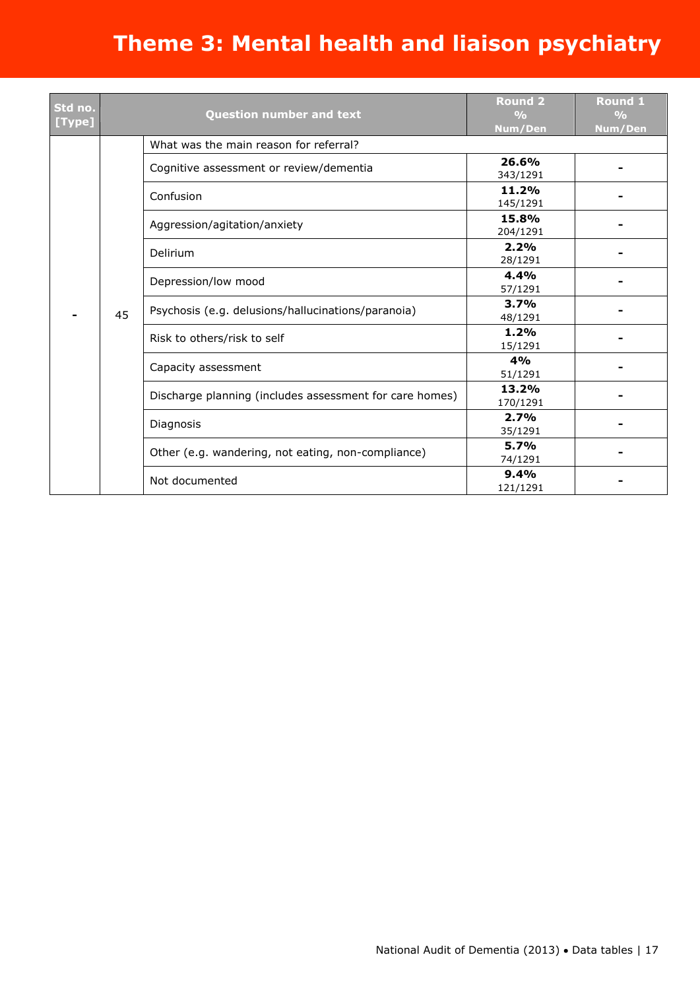| Std no.<br>[Type] |    | Question number and text                                |                   | <b>Round 1</b><br>$\frac{O}{O}$<br>Num/Den |
|-------------------|----|---------------------------------------------------------|-------------------|--------------------------------------------|
|                   |    | What was the main reason for referral?                  |                   |                                            |
|                   |    | Cognitive assessment or review/dementia                 | 26.6%<br>343/1291 |                                            |
|                   |    | Confusion                                               | 11.2%<br>145/1291 |                                            |
|                   |    | Aggression/agitation/anxiety                            | 15.8%<br>204/1291 |                                            |
|                   |    | Delirium                                                | 2.2%<br>28/1291   |                                            |
|                   | 45 | Depression/low mood                                     | 4.4%<br>57/1291   |                                            |
|                   |    | Psychosis (e.g. delusions/hallucinations/paranoia)      | 3.7%<br>48/1291   |                                            |
|                   |    | Risk to others/risk to self                             | 1.2%<br>15/1291   |                                            |
|                   |    | Capacity assessment                                     | 4%<br>51/1291     |                                            |
|                   |    | Discharge planning (includes assessment for care homes) | 13.2%<br>170/1291 |                                            |
|                   |    | Diagnosis                                               | 2.7%<br>35/1291   |                                            |
|                   |    | Other (e.g. wandering, not eating, non-compliance)      | 5.7%<br>74/1291   |                                            |
|                   |    | Not documented                                          | 9.4%<br>121/1291  |                                            |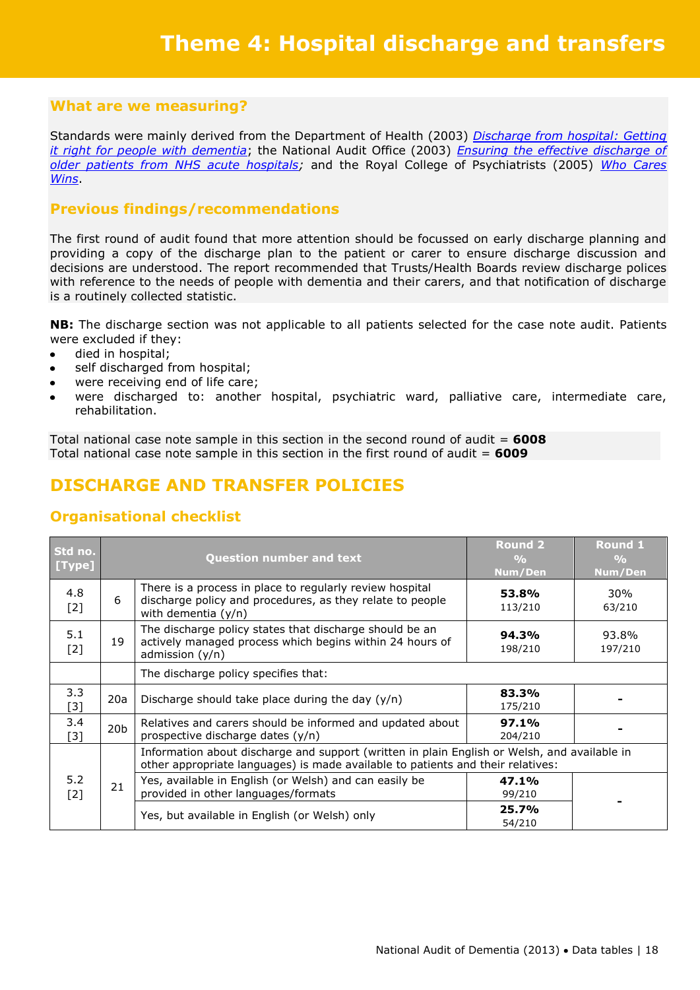Standards were mainly derived from the Department of Health (2003) *[Discharge from hospital: Getting](http://www.dh.gov.uk/prod_consum_dh/groups/dh_digitalassets/@dh/@en/documents/digitalasset/dh_4068270.pdf)  [it right for people with dementia](http://www.dh.gov.uk/prod_consum_dh/groups/dh_digitalassets/@dh/@en/documents/digitalasset/dh_4068270.pdf)*; the National Audit Office (2003) *[Ensuring the effective discharge of](http://www.nao.org.uk/publications/0203/ensuring_the_effective_dischar.aspx)  [older patients from NHS acute hospitals;](http://www.nao.org.uk/publications/0203/ensuring_the_effective_dischar.aspx)* and the Royal College of Psychiatrists (2005) *[Who Cares](http://www.rcpsych.ac.uk/PDF/WhoCaresWins.pdf)  [Wins](http://www.rcpsych.ac.uk/PDF/WhoCaresWins.pdf)*.

### **Previous findings/recommendations**

The first round of audit found that more attention should be focussed on early discharge planning and providing a copy of the discharge plan to the patient or carer to ensure discharge discussion and decisions are understood. The report recommended that Trusts/Health Boards review discharge polices with reference to the needs of people with dementia and their carers, and that notification of discharge is a routinely collected statistic.

**NB:** The discharge section was not applicable to all patients selected for the case note audit. Patients were excluded if they:

- died in hospital;  $\bullet$
- self discharged from hospital;  $\bullet$
- were receiving end of life care;
- were discharged to: another hospital, psychiatric ward, palliative care, intermediate care, rehabilitation.

Total national case note sample in this section in the second round of audit = **6008** Total national case note sample in this section in the first round of audit = **6009**

# **DISCHARGE AND TRANSFER POLICIES**

| Std no.<br>[Type] |                 | <b>Question number and text</b>                                                                                                                                                 | <b>Round 2</b><br>$\frac{0}{0}$<br>Num/Den | <b>Round 1</b><br>$\frac{0}{0}$<br>Num/Den |
|-------------------|-----------------|---------------------------------------------------------------------------------------------------------------------------------------------------------------------------------|--------------------------------------------|--------------------------------------------|
| 4.8<br>$[2]$      | 6               | There is a process in place to regularly review hospital<br>discharge policy and procedures, as they relate to people<br>with dementia $(y/n)$                                  | 53.8%<br>113/210                           | 30%<br>63/210                              |
| 5.1<br>$[2]$      | 19              | The discharge policy states that discharge should be an<br>actively managed process which begins within 24 hours of<br>admission $(y/n)$                                        | 94.3%<br>198/210                           | 93.8%<br>197/210                           |
|                   |                 | The discharge policy specifies that:                                                                                                                                            |                                            |                                            |
| 3.3<br>$[3]$      | 20a             | Discharge should take place during the day $(y/n)$                                                                                                                              | 83.3%<br>175/210                           |                                            |
| 3.4<br>$[3]$      | 20 <sub>b</sub> | Relatives and carers should be informed and updated about<br>prospective discharge dates (y/n)                                                                                  | 97.1%<br>204/210                           |                                            |
|                   |                 | Information about discharge and support (written in plain English or Welsh, and available in<br>other appropriate languages) is made available to patients and their relatives: |                                            |                                            |
| 5.2<br>$[2]$      | 21              | Yes, available in English (or Welsh) and can easily be<br>provided in other languages/formats                                                                                   | 47.1%<br>99/210                            |                                            |
|                   |                 | Yes, but available in English (or Welsh) only                                                                                                                                   | 25.7%<br>54/210                            |                                            |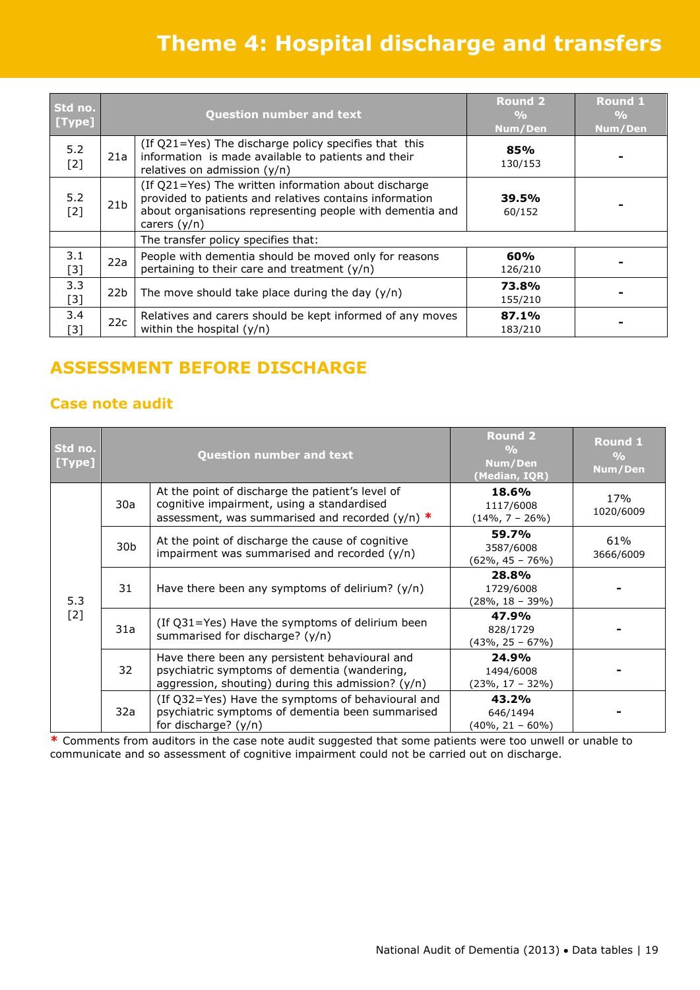# **Theme 4: Hospital discharge and transfers**

| Std no.<br>[Type] |                 | <b>Question number and text</b>                                                                                                                                                                | <b>Round 2</b><br>$\frac{0}{0}$<br>Num/Den | <b>Round 1</b><br>$\frac{0}{0}$<br>Num/Den |
|-------------------|-----------------|------------------------------------------------------------------------------------------------------------------------------------------------------------------------------------------------|--------------------------------------------|--------------------------------------------|
| 5.2<br>$[2]$      | 21a             | (If Q21=Yes) The discharge policy specifies that this<br>information is made available to patients and their<br>relatives on admission (y/n)                                                   | 85%<br>130/153                             |                                            |
| 5.2<br>$[2]$      | 21 <sub>b</sub> | (If Q21=Yes) The written information about discharge<br>provided to patients and relatives contains information<br>about organisations representing people with dementia and<br>carers $(y/n)$ | 39.5%<br>60/152                            |                                            |
|                   |                 | The transfer policy specifies that:                                                                                                                                                            |                                            |                                            |
| 3.1<br>$[3]$      | 22a             | People with dementia should be moved only for reasons<br>pertaining to their care and treatment $(y/n)$                                                                                        | 60%<br>126/210                             |                                            |
| 3.3<br>$[3]$      | 22b             | The move should take place during the day $(y/n)$                                                                                                                                              | 73.8%<br>155/210                           |                                            |
| 3.4<br>$[3]$      | 22c             | Relatives and carers should be kept informed of any moves<br>within the hospital $(y/n)$                                                                                                       | 87.1%<br>183/210                           |                                            |

# **ASSESSMENT BEFORE DISCHARGE**

### **Case note audit**

| Std no.<br>[Type] |                 | <b>Question number and text</b>                                                                                                                        | <b>Round 2</b><br>$\frac{0}{0}$<br>Num/Den<br>(Median, IQR) | Round 1<br>$\frac{0}{0}$<br>Num/Den |
|-------------------|-----------------|--------------------------------------------------------------------------------------------------------------------------------------------------------|-------------------------------------------------------------|-------------------------------------|
| 5.3<br>$[2]$      | 30a             | At the point of discharge the patient's level of<br>cognitive impairment, using a standardised<br>assessment, was summarised and recorded ( $y/n$ ) *  | 18.6%<br>1117/6008<br>$(14\%, 7 - 26\%)$                    | 17%<br>1020/6009                    |
|                   | 30 <sub>b</sub> | At the point of discharge the cause of cognitive<br>impairment was summarised and recorded (y/n)                                                       | 59.7%<br>3587/6008<br>$(62\% , 45 - 76\%)$                  | 61%<br>3666/6009                    |
|                   | 31              | Have there been any symptoms of delirium? $(y/n)$                                                                                                      | 28.8%<br>1729/6008<br>$(28\%, 18 - 39\%)$                   |                                     |
|                   | 31a             | (If Q31=Yes) Have the symptoms of delirium been<br>summarised for discharge? (y/n)                                                                     | 47.9%<br>828/1729<br>(43%, 25 – 67%)                        |                                     |
|                   | 32              | Have there been any persistent behavioural and<br>psychiatric symptoms of dementia (wandering,<br>aggression, shouting) during this admission? $(y/n)$ | 24.9%<br>1494/6008<br>$(23\%, 17 - 32\%)$                   |                                     |
|                   | 32a             | (If Q32=Yes) Have the symptoms of behavioural and<br>psychiatric symptoms of dementia been summarised<br>for discharge? (y/n)                          | 43.2%<br>646/1494<br>$(40\%, 21 - 60\%)$                    |                                     |

**\*** Comments from auditors in the case note audit suggested that some patients were too unwell or unable to communicate and so assessment of cognitive impairment could not be carried out on discharge.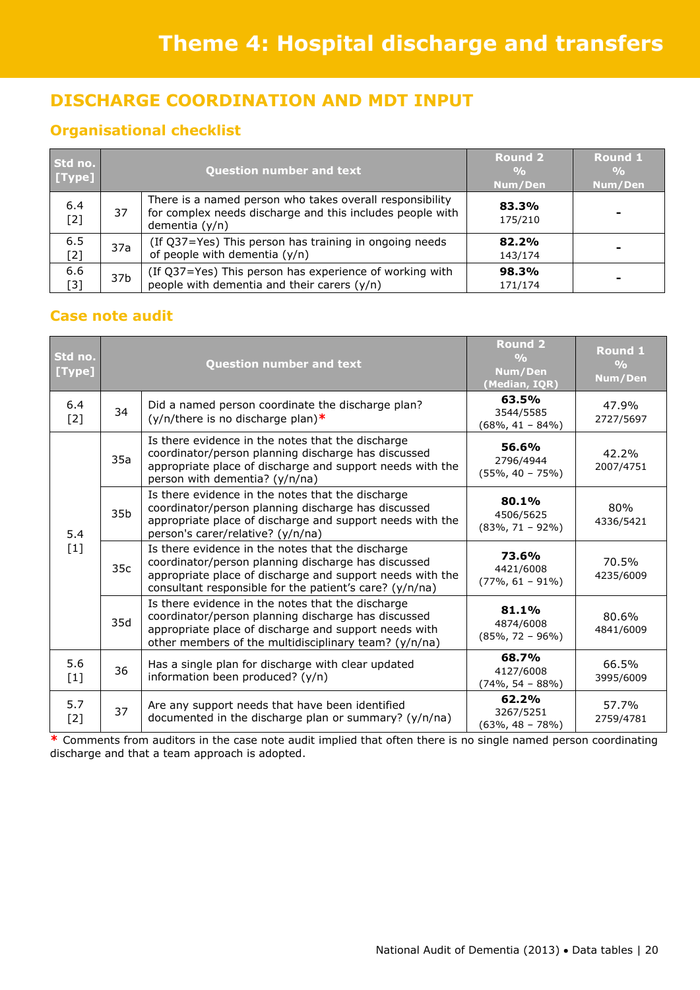# **DISCHARGE COORDINATION AND MDT INPUT**

### **Organisational checklist**

| Std no.<br>[Type] |                 | <b>Question number and text</b>                                                                                                           | <b>Round 2</b><br>Num/Den | <b>Round 1</b><br>$\frac{0}{0}$<br>Num/Den |
|-------------------|-----------------|-------------------------------------------------------------------------------------------------------------------------------------------|---------------------------|--------------------------------------------|
| 6.4<br>$[2]$      | 37              | There is a named person who takes overall responsibility<br>for complex needs discharge and this includes people with<br>dementia $(y/n)$ | 83.3%<br>175/210          |                                            |
| 6.5<br>$[2]$      | 37a             | (If Q37=Yes) This person has training in ongoing needs<br>of people with dementia (y/n)                                                   | 82.2%<br>143/174          |                                            |
| 6.6<br>[3]        | 37 <sub>b</sub> | (If Q37=Yes) This person has experience of working with<br>people with dementia and their carers (y/n)                                    | 98.3%<br>171/174          |                                            |

### **Case note audit**

| Std no.<br>[Type] |                 | <b>Question number and text</b>                                                                                                                                                                                                  | <b>Round 2</b><br>$\frac{0}{0}$<br>Num/Den<br>(Median, IQR) | <b>Round 1</b><br>$\frac{O}{O}$<br>Num/Den |
|-------------------|-----------------|----------------------------------------------------------------------------------------------------------------------------------------------------------------------------------------------------------------------------------|-------------------------------------------------------------|--------------------------------------------|
| 6.4<br>$[2]$      | 34              | Did a named person coordinate the discharge plan?<br>$(y/n/there$ is no discharge plan)*                                                                                                                                         | 63.5%<br>3544/5585<br>$(68\%, 41 - 84\%)$                   | 47.9%<br>2727/5697                         |
|                   | 35a             | Is there evidence in the notes that the discharge<br>coordinator/person planning discharge has discussed<br>appropriate place of discharge and support needs with the<br>person with dementia? (y/n/na)                          | 56.6%<br>2796/4944<br>$(55\%, 40 - 75\%)$                   | 42.2%<br>2007/4751                         |
| 5.4<br>$[1]$      | 35 <sub>b</sub> | Is there evidence in the notes that the discharge<br>coordinator/person planning discharge has discussed<br>appropriate place of discharge and support needs with the<br>person's carer/relative? (y/n/na)                       | 80.1%<br>4506/5625<br>$(83\%, 71 - 92\%)$                   | 80%<br>4336/5421                           |
|                   | 35c             | Is there evidence in the notes that the discharge<br>coordinator/person planning discharge has discussed<br>appropriate place of discharge and support needs with the<br>consultant responsible for the patient's care? (y/n/na) | 73.6%<br>4421/6008<br>$(77\%, 61 - 91\%)$                   | 70.5%<br>4235/6009                         |
|                   | 35d             | Is there evidence in the notes that the discharge<br>coordinator/person planning discharge has discussed<br>appropriate place of discharge and support needs with<br>other members of the multidisciplinary team? (y/n/na)       | 81.1%<br>4874/6008<br>$(85\%, 72 - 96\%)$                   | 80.6%<br>4841/6009                         |
| 5.6<br>$[1]$      | 36              | Has a single plan for discharge with clear updated<br>information been produced? (y/n)                                                                                                                                           | 68.7%<br>4127/6008<br>$(74\%, 54 - 88\%)$                   | 66.5%<br>3995/6009                         |
| 5.7<br>$[2]$      | 37              | Are any support needs that have been identified<br>documented in the discharge plan or summary? (y/n/na)                                                                                                                         | 62.2%<br>3267/5251<br>(63%, 48 – 78%)                       | 57.7%<br>2759/4781                         |

**\*** Comments from auditors in the case note audit implied that often there is no single named person coordinating discharge and that a team approach is adopted.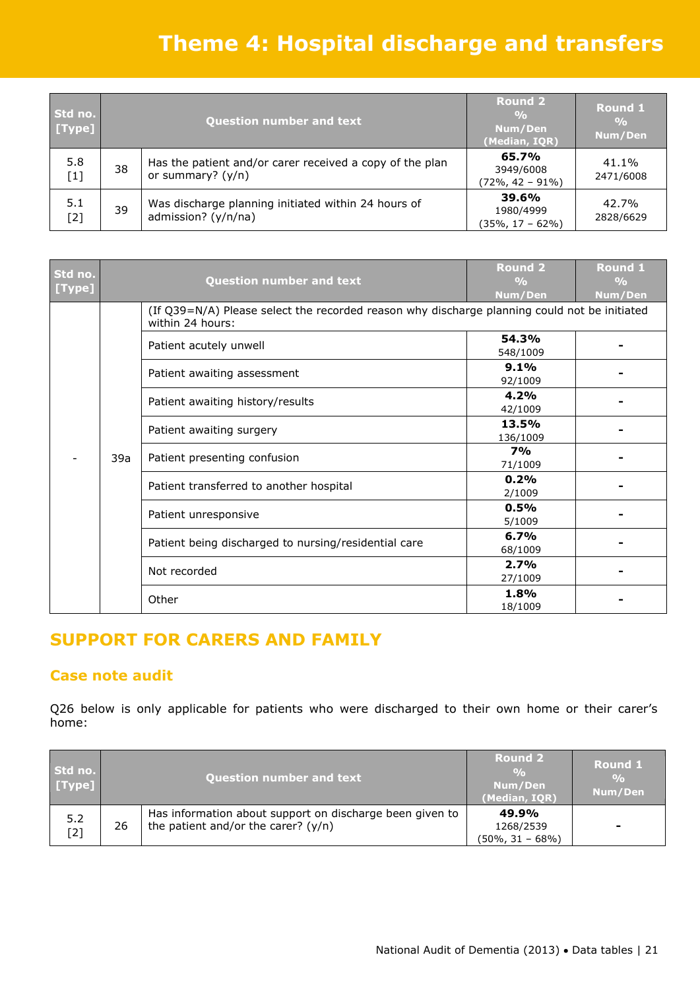# **Theme 4: Hospital discharge and transfers**

| Std no.<br>[Type] |    | <b>Question number and text</b>                                                 | <b>Round 2</b><br>$\frac{0}{0}$<br>Num/Den<br>(Median, IQR) | <b>Round 1</b><br>$\frac{6}{6}$<br>Num/Den |
|-------------------|----|---------------------------------------------------------------------------------|-------------------------------------------------------------|--------------------------------------------|
| 5.8<br>$[1]$      | 38 | Has the patient and/or carer received a copy of the plan<br>or summary? $(y/n)$ | 65.7%<br>3949/6008<br>$(72\%, 42 - 91\%)$                   | 41.1%<br>2471/6008                         |
| 5.1<br>[2]        | 39 | Was discharge planning initiated within 24 hours of<br>admission? (y/n/na)      | 39.6%<br>1980/4999<br>(35%, 17 – 62%)                       | 42.7%<br>2828/6629                         |

| Std no. |     | <b>Question number and text</b>                                                                                  | <b>Round 2</b><br>$\frac{O}{O}$ | <b>Round 1</b><br>$\frac{0}{0}$ |                                                      |                 |  |
|---------|-----|------------------------------------------------------------------------------------------------------------------|---------------------------------|---------------------------------|------------------------------------------------------|-----------------|--|
| [Type]  |     |                                                                                                                  | Num/Den                         | Num/Den                         |                                                      |                 |  |
|         |     | (If Q39=N/A) Please select the recorded reason why discharge planning could not be initiated<br>within 24 hours: |                                 |                                 |                                                      |                 |  |
|         |     | Patient acutely unwell                                                                                           | 54.3%<br>548/1009               |                                 |                                                      |                 |  |
|         |     | Patient awaiting assessment                                                                                      | 9.1%<br>92/1009                 |                                 |                                                      |                 |  |
|         |     | Patient awaiting history/results                                                                                 | 4.2%<br>42/1009                 |                                 |                                                      |                 |  |
|         | 39a |                                                                                                                  | Patient awaiting surgery        | 13.5%<br>136/1009               |                                                      |                 |  |
|         |     |                                                                                                                  | Patient presenting confusion    | <b>7%</b><br>71/1009            |                                                      |                 |  |
|         |     | Patient transferred to another hospital                                                                          | 0.2%<br>2/1009                  |                                 |                                                      |                 |  |
|         |     | Patient unresponsive                                                                                             | 0.5%<br>5/1009                  |                                 |                                                      |                 |  |
|         |     |                                                                                                                  |                                 |                                 | Patient being discharged to nursing/residential care | 6.7%<br>68/1009 |  |
|         |     | Not recorded                                                                                                     | 2.7%<br>27/1009                 |                                 |                                                      |                 |  |
|         |     | Other                                                                                                            | 1.8%<br>18/1009                 |                                 |                                                      |                 |  |

# **SUPPORT FOR CARERS AND FAMILY**

### **Case note audit**

Q26 below is only applicable for patients who were discharged to their own home or their carer's home:

| Std no.<br>[Type] |    | <b>Question number and text</b>                                                                   | <b>Round 2</b><br>$\frac{6}{2}$<br>Num/Den<br>(Median, IQR) | <b>Round 1</b><br>$\frac{0}{0}$<br>Num/Den |
|-------------------|----|---------------------------------------------------------------------------------------------------|-------------------------------------------------------------|--------------------------------------------|
| 5.2<br>$[2]$      | 26 | Has information about support on discharge been given to<br>the patient and/or the carer? $(y/n)$ | 49.9%<br>1268/2539<br>$(50\%, 31 - 68\%)$                   | -                                          |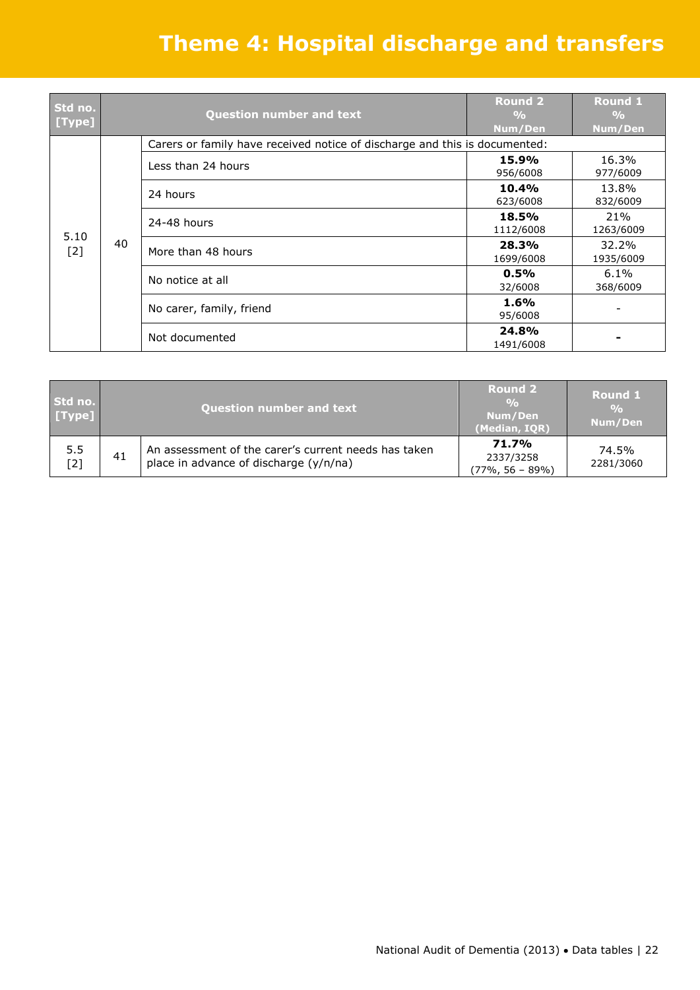# **Theme 4: Hospital discharge and transfers**

| Std no.<br>[Type] |    | <b>Question number and text</b>                                            | <b>Round 2</b><br>$\frac{0}{0}$<br>Num/Den | Round 1<br>$\frac{0}{0}$<br>Num/Den |                     |
|-------------------|----|----------------------------------------------------------------------------|--------------------------------------------|-------------------------------------|---------------------|
|                   |    | Carers or family have received notice of discharge and this is documented: |                                            |                                     |                     |
|                   | 40 | Less than 24 hours                                                         | 15.9%<br>956/6008                          | 16.3%<br>977/6009                   |                     |
|                   |    | 24 hours                                                                   | 10.4%<br>623/6008                          | 13.8%<br>832/6009                   |                     |
| 5.10              |    | 24-48 hours                                                                | 18.5%<br>1112/6008                         | 21%<br>1263/6009                    |                     |
| $[2]$             |    |                                                                            | More than 48 hours                         | 28.3%<br>1699/6008                  | 32.2%<br>1935/6009  |
|                   |    |                                                                            | No notice at all                           | 0.5%<br>32/6008                     | $6.1\%$<br>368/6009 |
|                   |    | No carer, family, friend                                                   | 1.6%<br>95/6008                            |                                     |                     |
|                   |    | Not documented                                                             | 24.8%<br>1491/6008                         |                                     |                     |

| Std no.<br>[Type] | <b>Question number and text</b> |                                                                                                | Round 2<br>$\frac{0}{0}$<br>Num/Den<br>(Median, IQR) | <b>Round 1</b><br>$\frac{0}{0}$<br>Num/Den |
|-------------------|---------------------------------|------------------------------------------------------------------------------------------------|------------------------------------------------------|--------------------------------------------|
| 5.5<br>$[2]$      | 41                              | An assessment of the carer's current needs has taken<br>place in advance of discharge (y/n/na) | 71.7%<br>2337/3258<br>$(77\%, 56 - 89\%)$            | 74.5%<br>2281/3060                         |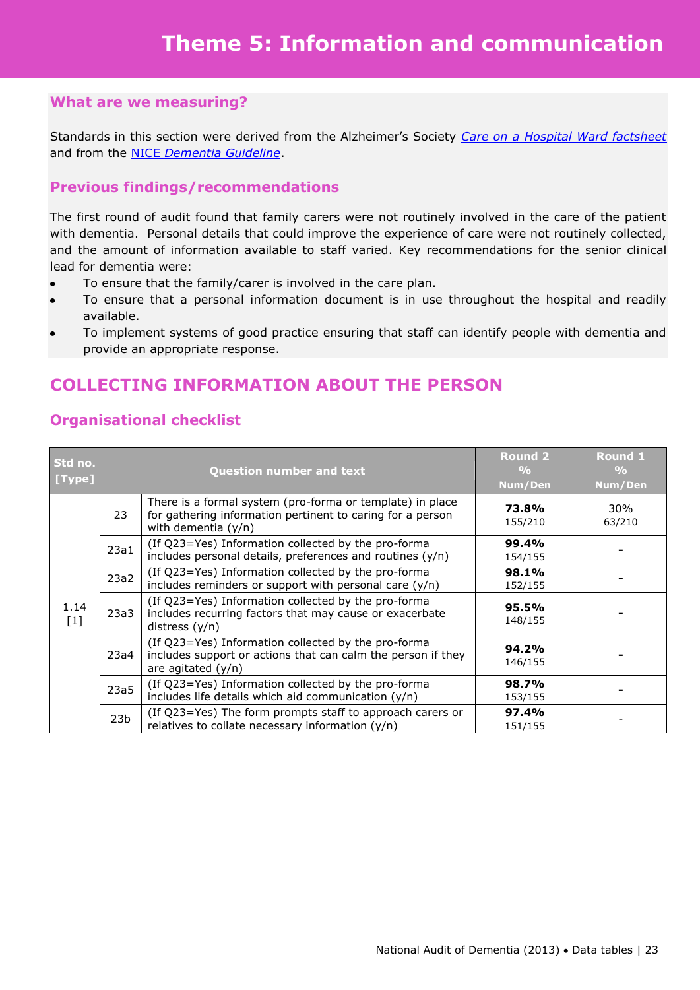Standards in this section were derived from the Alzheimer's Society *[Care on a Hospital Ward factsheet](http://www.alzheimers.org.uk/site/scripts/document_pdf.php?documentID=118)* and from the NICE *[Dementia Guideline](http://www.nice.org.uk/nicemedia/live/10998/30318/30318.pdf)*.

### **Previous findings/recommendations**

The first round of audit found that family carers were not routinely involved in the care of the patient with dementia. Personal details that could improve the experience of care were not routinely collected, and the amount of information available to staff varied. Key recommendations for the senior clinical lead for dementia were:

- To ensure that the family/carer is involved in the care plan.
- To ensure that a personal information document is in use throughout the hospital and readily available.
- To implement systems of good practice ensuring that staff can identify people with dementia and provide an appropriate response.

### **COLLECTING INFORMATION ABOUT THE PERSON**

| Std no.<br>[Type] |                 | <b>Question number and text</b>                                                                                                                  | <b>Round 2</b><br>$\frac{0}{0}$<br>Num/Den | <b>Round 1</b><br>$\frac{0}{0}$<br>Num/Den |
|-------------------|-----------------|--------------------------------------------------------------------------------------------------------------------------------------------------|--------------------------------------------|--------------------------------------------|
| 1.14<br>$[1]$     | 23              | There is a formal system (pro-forma or template) in place<br>for gathering information pertinent to caring for a person<br>with dementia $(y/n)$ | 73.8%<br>155/210                           | 30%<br>63/210                              |
|                   | 23a1            | (If Q23=Yes) Information collected by the pro-forma<br>includes personal details, preferences and routines (y/n)                                 | 99.4%<br>154/155                           |                                            |
|                   | 23a2            | (If Q23=Yes) Information collected by the pro-forma<br>includes reminders or support with personal care $(y/n)$                                  | 98.1%<br>152/155                           |                                            |
|                   | 23a3            | (If Q23=Yes) Information collected by the pro-forma<br>includes recurring factors that may cause or exacerbate<br>distress $(y/n)$               | 95.5%<br>148/155                           |                                            |
|                   | 23a4            | (If Q23=Yes) Information collected by the pro-forma<br>includes support or actions that can calm the person if they<br>are agitated $(y/n)$      | 94.2%<br>146/155                           |                                            |
|                   | 23a5            | (If Q23=Yes) Information collected by the pro-forma<br>includes life details which aid communication (y/n)                                       | 98.7%<br>153/155                           |                                            |
|                   | 23 <sub>b</sub> | (If Q23=Yes) The form prompts staff to approach carers or<br>relatives to collate necessary information (y/n)                                    | 97.4%<br>151/155                           |                                            |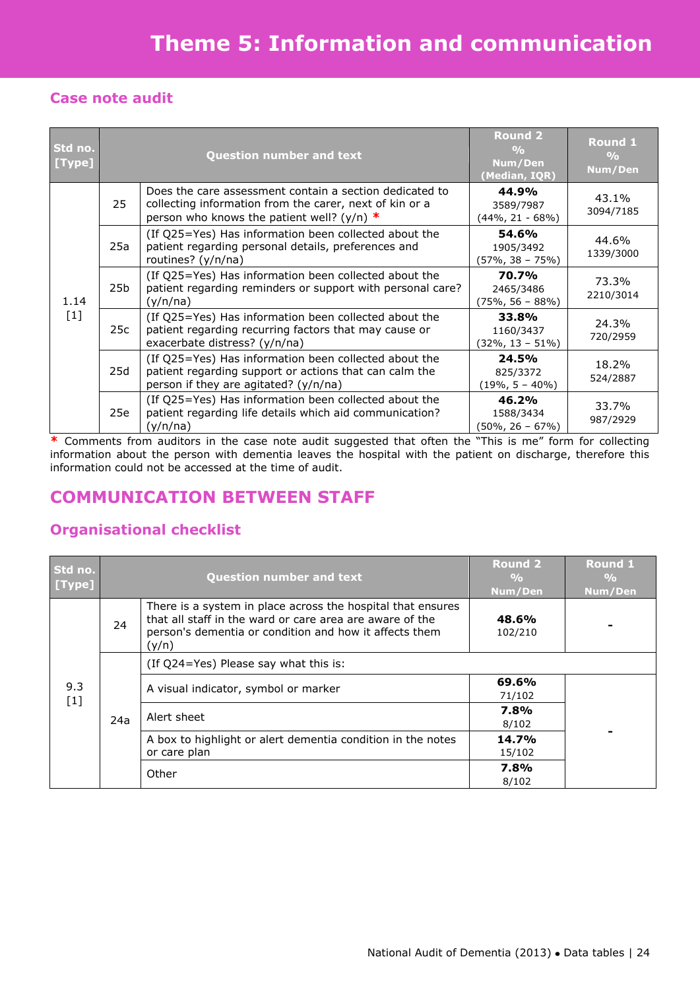### **Case note audit**

| Std no.<br>[Type] |     | <b>Question number and text</b>                                                                                                                                    |                                           | <b>Round 1</b><br>$\frac{0}{0}$<br>Num/Den |
|-------------------|-----|--------------------------------------------------------------------------------------------------------------------------------------------------------------------|-------------------------------------------|--------------------------------------------|
| 1.14<br>$[1]$     | 25  | Does the care assessment contain a section dedicated to<br>collecting information from the carer, next of kin or a<br>person who knows the patient well? (y/n) $*$ | 44.9%<br>3589/7987<br>(44%, 21 - 68%)     | 43.1%<br>3094/7185                         |
|                   | 25a | (If Q25=Yes) Has information been collected about the<br>patient regarding personal details, preferences and<br>routines? (y/n/na)                                 | 54.6%<br>1905/3492<br>(57%, 38 – 75%)     | 44.6%<br>1339/3000                         |
|                   | 25b | (If Q25=Yes) Has information been collected about the<br>patient regarding reminders or support with personal care?<br>(y/n/na)                                    | 70.7%<br>2465/3486<br>$(75\%, 56 - 88\%)$ | 73.3%<br>2210/3014                         |
|                   | 25c | (If Q25=Yes) Has information been collected about the<br>patient regarding recurring factors that may cause or<br>exacerbate distress? (y/n/na)                    | 33.8%<br>1160/3437<br>(32%, 13 – 51%)     | 24.3%<br>720/2959                          |
|                   | 25d | (If Q25=Yes) Has information been collected about the<br>patient regarding support or actions that can calm the<br>person if they are agitated? (y/n/na)           | 24.5%<br>825/3372<br>$(19\%, 5 - 40\%)$   | 18.2%<br>524/2887                          |
|                   | 25e | (If Q25=Yes) Has information been collected about the<br>patient regarding life details which aid communication?<br>(y/n/na)                                       | 46.2%<br>1588/3434<br>$(50\%, 26 - 67\%)$ | 33.7%<br>987/2929                          |

**\*** Comments from auditors in the case note audit suggested that often the "This is me" form for collecting information about the person with dementia leaves the hospital with the patient on discharge, therefore this information could not be accessed at the time of audit.

# **COMMUNICATION BETWEEN STAFF**

| Std no.<br>[Type] |     | <b>Question number and text</b>                                                                                                                                                            |                                      | <b>Round 1</b><br>$\frac{0}{0}$<br>Num/Den |  |
|-------------------|-----|--------------------------------------------------------------------------------------------------------------------------------------------------------------------------------------------|--------------------------------------|--------------------------------------------|--|
|                   | 24  | There is a system in place across the hospital that ensures<br>that all staff in the ward or care area are aware of the<br>person's dementia or condition and how it affects them<br>(y/n) | 48.6%<br>102/210                     |                                            |  |
|                   | 24a | (If Q24=Yes) Please say what this is:                                                                                                                                                      |                                      |                                            |  |
| 9.3<br>$[1]$      |     |                                                                                                                                                                                            | A visual indicator, symbol or marker | 69.6%<br>71/102                            |  |
|                   |     |                                                                                                                                                                                            | Alert sheet                          | 7.8%<br>8/102                              |  |
|                   |     | A box to highlight or alert dementia condition in the notes<br>or care plan                                                                                                                | 14.7%<br>15/102                      |                                            |  |
|                   |     | Other                                                                                                                                                                                      | 7.8%<br>8/102                        |                                            |  |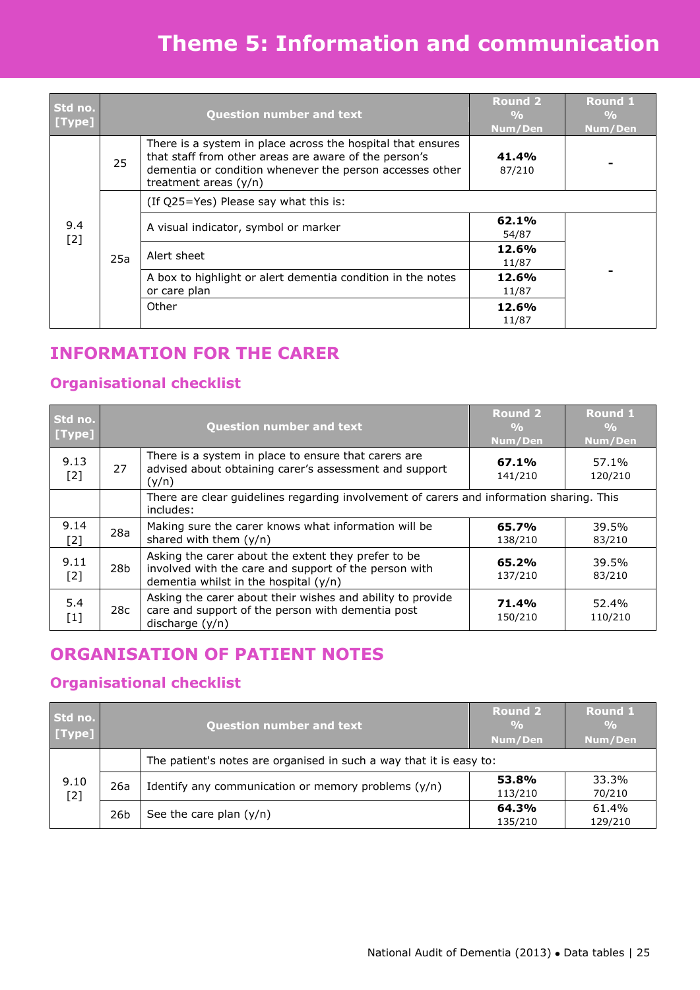# **Theme 5: Information and communication**

| Std no.<br>[Type] |     | <b>Question number and text</b>                                                                                                                                                                             |                                      | <b>Round 1</b><br>$\frac{9}{6}$<br>Num/Den |  |
|-------------------|-----|-------------------------------------------------------------------------------------------------------------------------------------------------------------------------------------------------------------|--------------------------------------|--------------------------------------------|--|
|                   | 25  | There is a system in place across the hospital that ensures<br>that staff from other areas are aware of the person's<br>dementia or condition whenever the person accesses other<br>treatment areas $(y/n)$ | 41.4%<br>87/210                      |                                            |  |
|                   | 25a | (If Q25=Yes) Please say what this is:                                                                                                                                                                       |                                      |                                            |  |
| 9.4<br>$[2]$      |     |                                                                                                                                                                                                             | A visual indicator, symbol or marker | 62.1%<br>54/87                             |  |
|                   |     |                                                                                                                                                                                                             | Alert sheet                          | 12.6%<br>11/87                             |  |
|                   |     | A box to highlight or alert dementia condition in the notes<br>or care plan                                                                                                                                 | 12.6%<br>11/87                       |                                            |  |
|                   |     | Other                                                                                                                                                                                                       | 12.6%<br>11/87                       |                                            |  |

### **INFORMATION FOR THE CARER**

### **Organisational checklist**

| Std no.<br>[Type] |                                                                                                       | <b>Question number and text</b>                                                                                                                         |                  | <b>Round 1</b><br>$\frac{0}{0}$<br>Num/Den |
|-------------------|-------------------------------------------------------------------------------------------------------|---------------------------------------------------------------------------------------------------------------------------------------------------------|------------------|--------------------------------------------|
| 9.13<br>$[2]$     | 27                                                                                                    | There is a system in place to ensure that carers are<br>advised about obtaining carer's assessment and support<br>(y/n)                                 | 67.1%<br>141/210 | 57.1%<br>120/210                           |
|                   | There are clear guidelines regarding involvement of carers and information sharing. This<br>includes: |                                                                                                                                                         |                  |                                            |
| 9.14<br>[2]       | 28a                                                                                                   | Making sure the carer knows what information will be<br>shared with them $(y/n)$                                                                        | 65.7%<br>138/210 | 39.5%<br>83/210                            |
| 9.11<br>$[2]$     | 28b                                                                                                   | Asking the carer about the extent they prefer to be<br>involved with the care and support of the person with<br>dementia whilst in the hospital $(y/n)$ |                  | 39.5%<br>83/210                            |
| 5.4<br>$[1]$      | 28c                                                                                                   | Asking the carer about their wishes and ability to provide<br>care and support of the person with dementia post<br>discharge $(y/n)$                    | 71.4%<br>150/210 | 52.4%<br>110/210                           |

# **ORGANISATION OF PATIENT NOTES**

| Std no.<br>[Type] |                 | <b>Question number and text</b>                                     |                  | <b>Round 1</b><br>$\frac{0}{0}$<br>Num/Den |  |
|-------------------|-----------------|---------------------------------------------------------------------|------------------|--------------------------------------------|--|
|                   |                 | The patient's notes are organised in such a way that it is easy to: |                  |                                            |  |
| 9.10<br>$[2]$     | 26a             | Identify any communication or memory problems $(y/n)$               | 53.8%<br>113/210 | 33.3%<br>70/210                            |  |
|                   | 26 <sub>b</sub> | See the care plan $(y/n)$                                           | 64.3%<br>135/210 | 61.4%<br>129/210                           |  |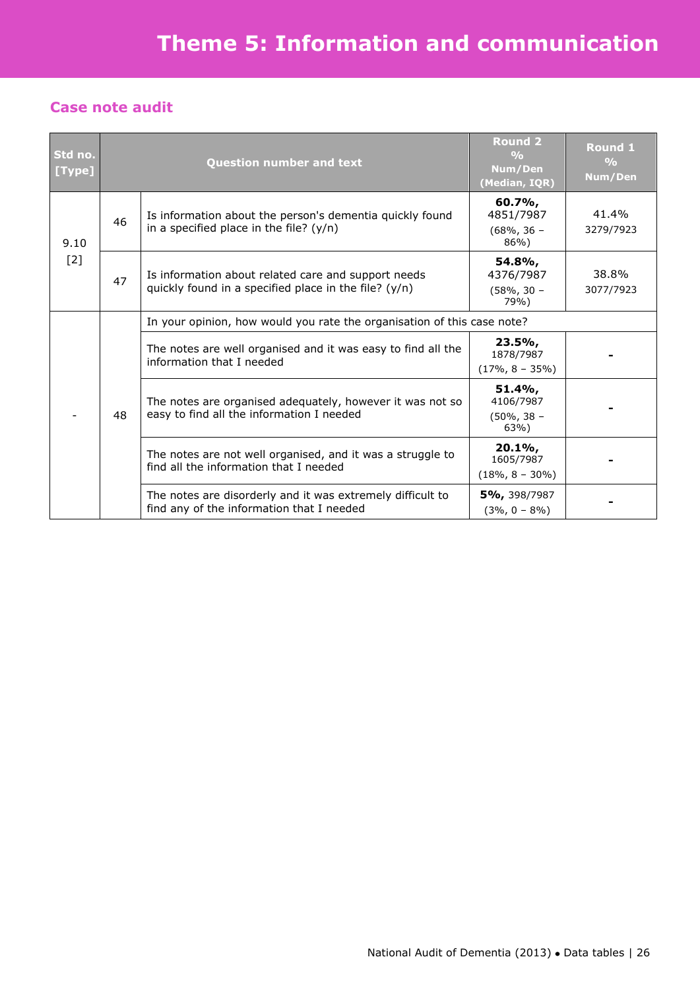### **Case note audit**

| Std no.<br>[Type] |    | <b>Question number and text</b>                                                                                |                                                | Round 1<br>$\frac{0}{0}$<br>Num/Den |  |  |
|-------------------|----|----------------------------------------------------------------------------------------------------------------|------------------------------------------------|-------------------------------------|--|--|
| 9.10<br>$[2]$     | 46 | Is information about the person's dementia quickly found<br>in a specified place in the file? $(y/n)$          | 60.7%,<br>4851/7987<br>$(68\%, 36 -$<br>$86\%$ | 41.4%<br>3279/7923                  |  |  |
|                   | 47 | Is information about related care and support needs<br>quickly found in a specified place in the file? $(y/n)$ | 54.8%,<br>4376/7987<br>$(58\%, 30 -$<br>79%)   | 38.8%<br>3077/7923                  |  |  |
|                   | 48 | In your opinion, how would you rate the organisation of this case note?                                        |                                                |                                     |  |  |
|                   |    | The notes are well organised and it was easy to find all the<br>information that I needed                      | $23.5\%$<br>1878/7987<br>$(17\%, 8 - 35\%)$    |                                     |  |  |
|                   |    | The notes are organised adequately, however it was not so<br>easy to find all the information I needed         | 51.4%<br>4106/7987<br>$(50\%, 38 -$<br>63%)    |                                     |  |  |
|                   |    | The notes are not well organised, and it was a struggle to<br>find all the information that I needed           | $20.1\%$<br>1605/7987<br>$(18\%, 8 - 30\%)$    |                                     |  |  |
|                   |    | The notes are disorderly and it was extremely difficult to<br>find any of the information that I needed        | 5%, 398/7987<br>$(3\%, 0 - 8\%)$               |                                     |  |  |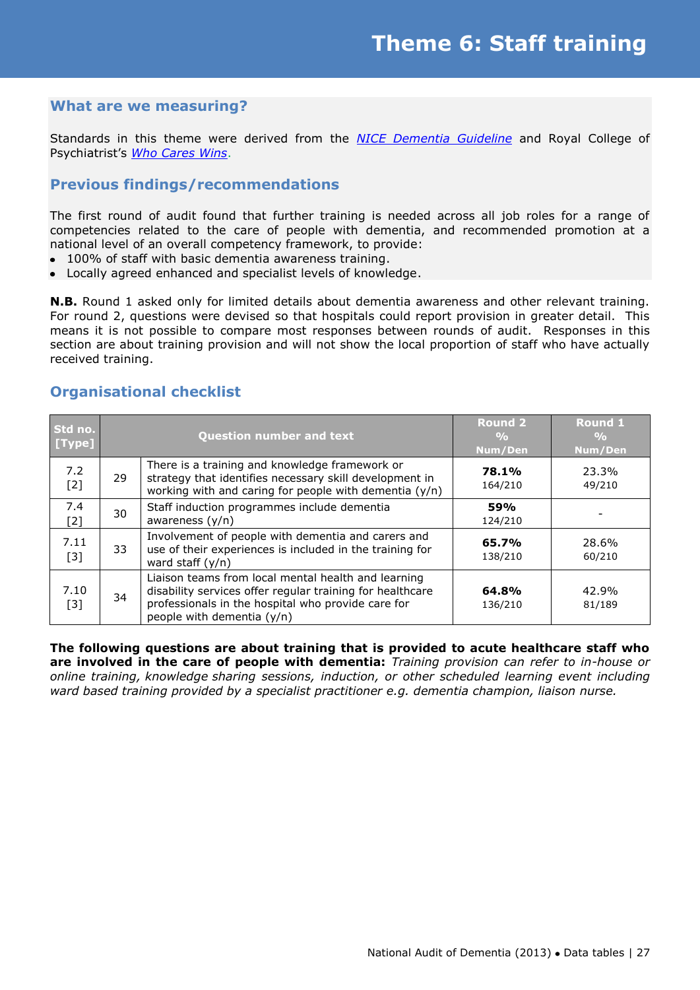Standards in this theme were derived from the *[NICE Dementia Guideline](http://www.nice.org.uk/nicemedia/live/10998/30318/30318.pdf)* and Royal College of Psychiatrist's *[Who Cares Wins](http://www.rcpsych.ac.uk/PDF/WhoCaresWins.pdf)*.

### **Previous findings/recommendations**

The first round of audit found that further training is needed across all job roles for a range of competencies related to the care of people with dementia, and recommended promotion at a national level of an overall competency framework, to provide:

- 100% of staff with basic dementia awareness training.
- Locally agreed enhanced and specialist levels of knowledge.

**N.B.** Round 1 asked only for limited details about dementia awareness and other relevant training. For round 2, questions were devised so that hospitals could report provision in greater detail. This means it is not possible to compare most responses between rounds of audit. Responses in this section are about training provision and will not show the local proportion of staff who have actually received training.

#### **Std no. [Type] Question number and text Round 2 % Num/Den Round 1 % Num/Den** 7.2  $\begin{array}{c|c} 7.2 & 29 \\ 21 & 29 \end{array}$ There is a training and knowledge framework or strategy that identifies necessary skill development in working with and caring for people with dementia  $(y/n)$ **78.1%** 164/210 23.3% 49/210 7.4 7.4 30 Staff induction programmes include dementia<br>[2]  $\begin{bmatrix} 30 \\ 0 \end{bmatrix}$  awareness (y/n) awareness (y/n) **59%** 124/210 - 7.11  $\begin{array}{c|c} \overline{31} & 33 \\ \hline \end{array}$ Involvement of people with dementia and carers and use of their experiences is included in the training for ward staff (y/n) **65.7%** 138/210 28.6% 60/210 7.10  $\begin{array}{|c|c|c|c|c|} \hline 131 & 34 \ \hline \end{array}$ Liaison teams from local mental health and learning disability services offer regular training for healthcare professionals in the hospital who provide care for people with dementia (y/n) **64.8%** 136/210 42.9% 81/189

### **Organisational checklist**

**The following questions are about training that is provided to acute healthcare staff who are involved in the care of people with dementia:** *Training provision can refer to in-house or online training, knowledge sharing sessions, induction, or other scheduled learning event including ward based training provided by a specialist practitioner e.g. dementia champion, liaison nurse.*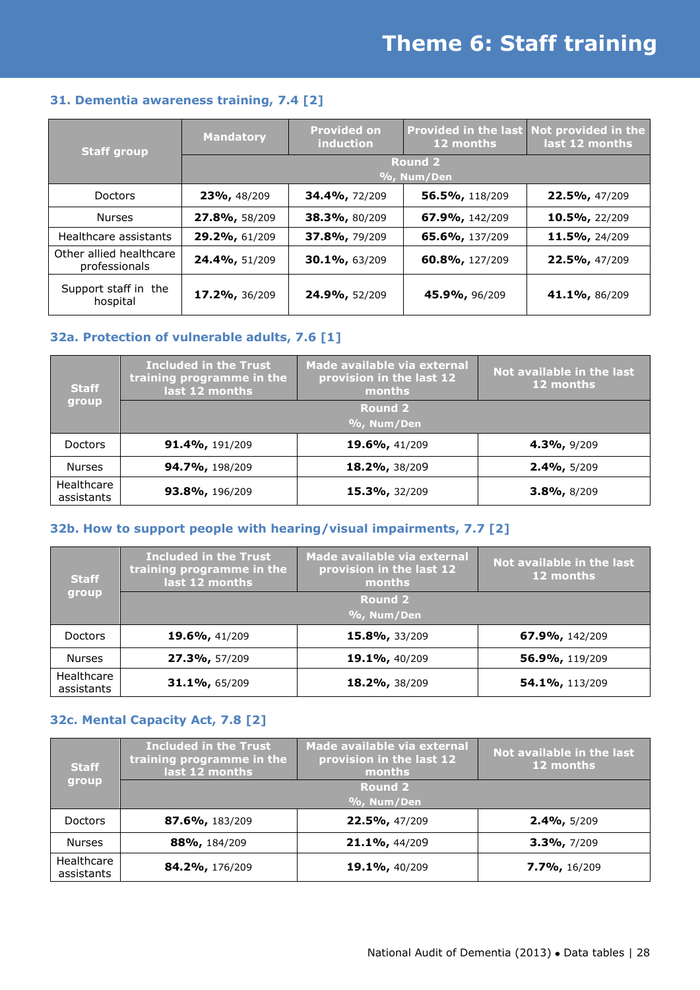#### **31. Dementia awareness training, 7.4 [2]**

| <b>Staff group</b>                       | <b>Mandatory</b>             | <b>Provided on</b><br>induction | 12 months      | Provided in the last Not provided in the<br>last 12 months |  |
|------------------------------------------|------------------------------|---------------------------------|----------------|------------------------------------------------------------|--|
|                                          | <b>Round 2</b><br>%, Num/Den |                                 |                |                                                            |  |
| <b>Doctors</b>                           | 23%, 48/209                  | 34.4%, 72/209                   | 56.5%, 118/209 | 22.5%, 47/209                                              |  |
| <b>Nurses</b>                            | 27.8%, 58/209                | 38.3%, 80/209                   | 67.9%, 142/209 | 10.5%, 22/209                                              |  |
| Healthcare assistants                    | 29.2%, 61/209                | 37.8%, 79/209                   | 65.6%, 137/209 | 11.5%, 24/209                                              |  |
| Other allied healthcare<br>professionals | 24.4%, 51/209                | 30.1%, 63/209                   | 60.8%, 127/209 | 22.5%, 47/209                                              |  |
| Support staff in the<br>hospital         | 17.2%, 36/209                | 24.9%, 52/209                   | 45.9%, 96/209  | 41.1%, 86/209                                              |  |

### **32a. Protection of vulnerable adults, 7.6 [1]**

| <b>Staff</b>             | <b>Included in the Trust</b><br>training programme in the<br>last 12 months | Made available via external<br>provision in the last 12<br>months | Not available in the last<br>12 months |
|--------------------------|-----------------------------------------------------------------------------|-------------------------------------------------------------------|----------------------------------------|
| group                    |                                                                             | <b>Round 2</b>                                                    |                                        |
|                          |                                                                             | %, Num/Den                                                        |                                        |
| <b>Doctors</b>           | <b>91.4%, 191/209</b>                                                       | 19.6%, 41/209                                                     | 4.3%, 9/209                            |
| <b>Nurses</b>            | 94.7%, 198/209                                                              | 18.2%, 38/209                                                     | $2.4\%$ , 5/209                        |
| Healthcare<br>assistants | 93.8%, 196/209                                                              | 15.3%, 32/209                                                     | 3.8%, 8/209                            |

### **32b. How to support people with hearing/visual impairments, 7.7 [2]**

| <b>Staff</b>             | <b>Included in the Trust</b><br>training programme in the<br>last 12 months | Made available via external<br>provision in the last 12<br>months | Not available in the last<br>12 months |
|--------------------------|-----------------------------------------------------------------------------|-------------------------------------------------------------------|----------------------------------------|
| group                    |                                                                             | <b>Round 2</b>                                                    |                                        |
|                          |                                                                             | $\%$ , Num/Den                                                    |                                        |
| <b>Doctors</b>           | 19.6%, 41/209                                                               | 15.8%, 33/209                                                     | 67.9%, 142/209                         |
| <b>Nurses</b>            | 27.3%, 57/209                                                               | 19.1%, 40/209                                                     | 56.9%, 119/209                         |
| Healthcare<br>assistants | 31.1%, 65/209                                                               | 18.2%, 38/209                                                     | 54.1%, 113/209                         |

### **32c. Mental Capacity Act, 7.8 [2]**

| <b>Staff</b><br>group    | <b>Included in the Trust</b><br>training programme in the<br>last 12 months | Made available via external<br>provision in the last 12<br>months | Not available in the last<br>12 months |
|--------------------------|-----------------------------------------------------------------------------|-------------------------------------------------------------------|----------------------------------------|
|                          | <b>Round 2</b><br>$%$ , Num/Den                                             |                                                                   |                                        |
| Doctors                  | 87.6%, 183/209                                                              | 22.5%, 47/209                                                     | $2.4\%$ , 5/209                        |
| <b>Nurses</b>            | 88%, 184/209                                                                | 21.1%, 44/209                                                     | $3.3\%$ , $7/209$                      |
| Healthcare<br>assistants | 84.2%, 176/209                                                              | 19.1%, 40/209                                                     | $7.7\%$ , 16/209                       |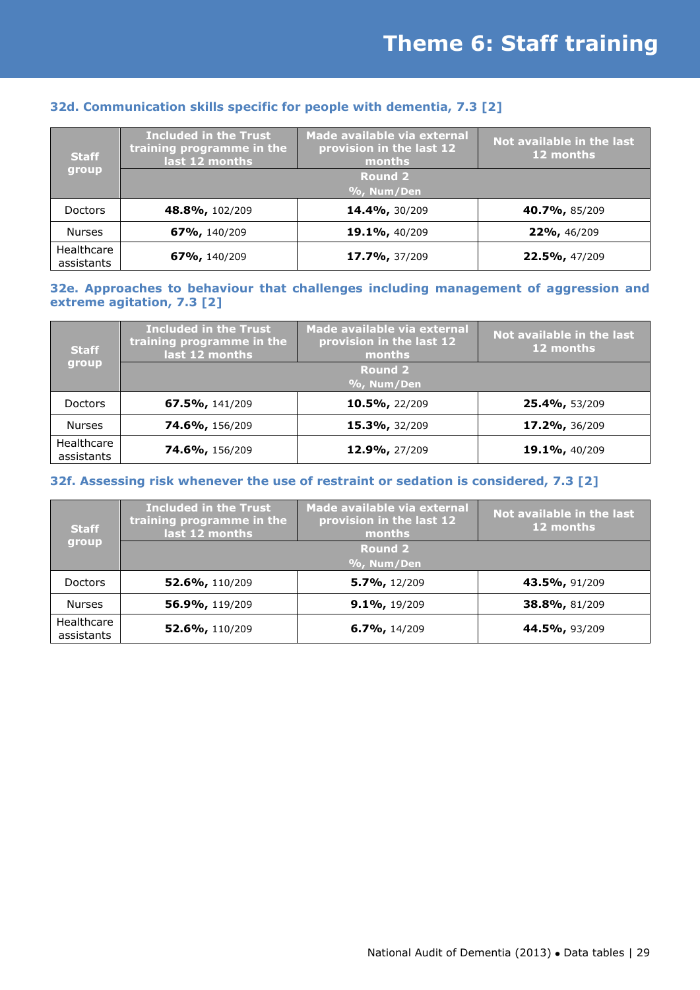| <b>Staff</b><br>group    | <b>Included in the Trust</b><br>training programme in the<br>last 12 months | Made available via external<br>provision in the last 12<br>months | Not available in the last<br>12 months |
|--------------------------|-----------------------------------------------------------------------------|-------------------------------------------------------------------|----------------------------------------|
|                          |                                                                             | <b>Round 2</b>                                                    |                                        |
|                          | %, Num/Den                                                                  |                                                                   |                                        |
|                          |                                                                             |                                                                   |                                        |
| <b>Doctors</b>           | <b>48.8%, 102/209</b>                                                       | 14.4%, 30/209                                                     | <b>40.7%, 85/209</b>                   |
| <b>Nurses</b>            | <b>67%, 140/209</b>                                                         | 19.1%, 40/209                                                     | $22\%$ , 46/209                        |
| Healthcare<br>assistants | <b>67%, 140/209</b>                                                         | 17.7%, 37/209                                                     | 22.5%, 47/209                          |

#### **32d. Communication skills specific for people with dementia, 7.3 [2]**

#### **32e. Approaches to behaviour that challenges including management of aggression and extreme agitation, 7.3 [2]**

| <b>Staff</b><br>group    | <b>Included in the Trust</b><br>training programme in the<br>last 12 months | Made available via external<br>provision in the last 12<br>months | Not available in the last<br>12 months |
|--------------------------|-----------------------------------------------------------------------------|-------------------------------------------------------------------|----------------------------------------|
|                          |                                                                             | <b>Round 2</b>                                                    |                                        |
|                          |                                                                             | %, Num/Den                                                        |                                        |
| <b>Doctors</b>           | <b>67.5%, 141/209</b>                                                       | 10.5%, 22/209                                                     | 25.4%, 53/209                          |
| <b>Nurses</b>            | <b>74.6%, 156/209</b>                                                       | 15.3%, 32/209                                                     | 17.2%, 36/209                          |
| Healthcare<br>assistants | <b>74.6%, 156/209</b>                                                       | 12.9%, 27/209                                                     | 19.1%, 40/209                          |

#### **32f. Assessing risk whenever the use of restraint or sedation is considered, 7.3 [2]**

| <b>Staff</b><br>group    | <b>Included in the Trust</b><br>training programme in the<br>last 12 months | Made available via external<br>provision in the last 12<br>months | Not available in the last<br>12 months |
|--------------------------|-----------------------------------------------------------------------------|-------------------------------------------------------------------|----------------------------------------|
|                          |                                                                             | <b>Round 2</b>                                                    |                                        |
|                          |                                                                             | $\%$ , Num/Den                                                    |                                        |
| <b>Doctors</b>           | 52.6%, 110/209                                                              | 5.7%, 12/209                                                      | 43.5%, 91/209                          |
| <b>Nurses</b>            | 56.9%, 119/209                                                              | $9.1\%$ , 19/209                                                  | 38.8%, 81/209                          |
| Healthcare<br>assistants | 52.6%, 110/209                                                              | $6.7\%$ , 14/209                                                  | 44.5%, 93/209                          |